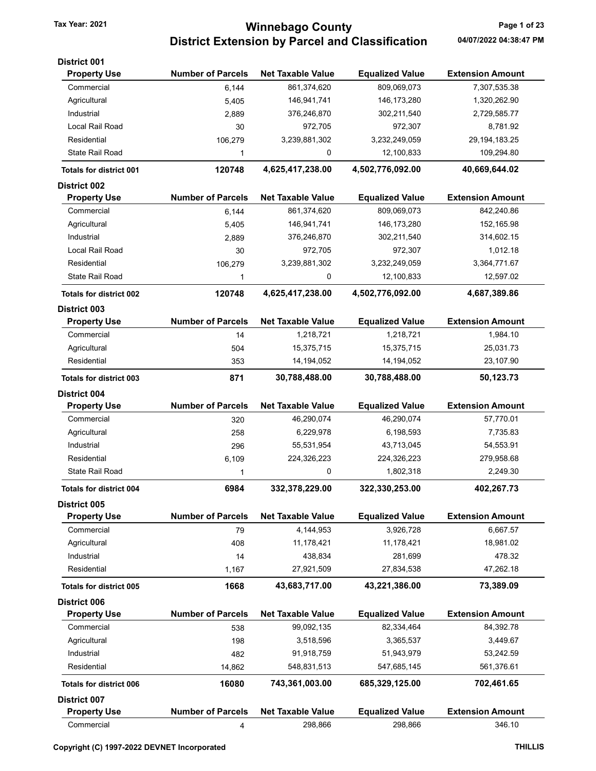# Tax Year: 2021 **Winnebago County Tax Year: 2021** Page 1 of 23 District Extension by Parcel and Classification 04/07/2022 04:38:47 PM

| District 001                   |                          |                          |                        |                         |
|--------------------------------|--------------------------|--------------------------|------------------------|-------------------------|
| <b>Property Use</b>            | <b>Number of Parcels</b> | <b>Net Taxable Value</b> | <b>Equalized Value</b> | <b>Extension Amount</b> |
| Commercial                     | 6,144                    | 861,374,620              | 809,069,073            | 7,307,535.38            |
| Agricultural                   | 5,405                    | 146,941,741              | 146, 173, 280          | 1,320,262.90            |
| Industrial                     | 2,889                    | 376,246,870              | 302,211,540            | 2,729,585.77            |
| Local Rail Road                | 30                       | 972,705                  | 972,307                | 8,781.92                |
| Residential                    | 106,279                  | 3,239,881,302            | 3,232,249,059          | 29, 194, 183. 25        |
| <b>State Rail Road</b>         | 1                        | 0                        | 12,100,833             | 109,294.80              |
| <b>Totals for district 001</b> | 120748                   | 4,625,417,238.00         | 4,502,776,092.00       | 40,669,644.02           |
| <b>District 002</b>            |                          |                          |                        |                         |
| <b>Property Use</b>            | <b>Number of Parcels</b> | <b>Net Taxable Value</b> | <b>Equalized Value</b> | <b>Extension Amount</b> |
| Commercial                     | 6,144                    | 861,374,620              | 809,069,073            | 842,240.86              |
| Agricultural                   | 5,405                    | 146,941,741              | 146, 173, 280          | 152,165.98              |
| Industrial                     | 2,889                    | 376,246,870              | 302,211,540            | 314,602.15              |
| Local Rail Road                | 30                       | 972,705                  | 972,307                | 1,012.18                |
| Residential                    | 106,279                  | 3,239,881,302            | 3,232,249,059          | 3,364,771.67            |
| <b>State Rail Road</b>         | 1                        | 0                        | 12,100,833             | 12,597.02               |
| <b>Totals for district 002</b> | 120748                   | 4,625,417,238.00         | 4,502,776,092.00       | 4,687,389.86            |
| <b>District 003</b>            |                          |                          |                        |                         |
| <b>Property Use</b>            | <b>Number of Parcels</b> | <b>Net Taxable Value</b> | <b>Equalized Value</b> | <b>Extension Amount</b> |
| Commercial                     | 14                       | 1,218,721                | 1,218,721              | 1,984.10                |
| Agricultural                   | 504                      | 15,375,715               | 15,375,715             | 25,031.73               |
| Residential                    | 353                      | 14,194,052               | 14,194,052             | 23,107.90               |
| <b>Totals for district 003</b> | 871                      | 30,788,488.00            | 30,788,488.00          | 50,123.73               |
| <b>District 004</b>            |                          |                          |                        |                         |
| <b>Property Use</b>            | <b>Number of Parcels</b> | <b>Net Taxable Value</b> | <b>Equalized Value</b> | <b>Extension Amount</b> |
| Commercial                     | 320                      | 46,290,074               | 46,290,074             | 57,770.01               |
| Agricultural                   | 258                      | 6,229,978                | 6,198,593              | 7,735.83                |
| Industrial                     | 296                      | 55,531,954               | 43,713,045             | 54,553.91               |
| Residential                    | 6,109                    | 224,326,223              | 224,326,223            | 279,958.68              |
| <b>State Rail Road</b>         | 1                        | 0                        | 1,802,318              | 2,249.30                |
| <b>Totals for district 004</b> | 6984                     | 332,378,229.00           | 322,330,253.00         | 402,267.73              |
| <b>District 005</b>            |                          |                          |                        |                         |
| <b>Property Use</b>            | <b>Number of Parcels</b> | <b>Net Taxable Value</b> | <b>Equalized Value</b> | <b>Extension Amount</b> |
| Commercial                     | 79                       | 4,144,953                | 3,926,728              | 6,667.57                |
| Agricultural                   | 408                      | 11,178,421               | 11,178,421             | 18,981.02               |
| Industrial                     | 14                       | 438,834                  | 281,699                | 478.32                  |
| Residential                    | 1,167                    | 27,921,509               | 27,834,538             | 47,262.18               |
| <b>Totals for district 005</b> | 1668                     | 43,683,717.00            | 43,221,386.00          | 73,389.09               |
| District 006                   |                          |                          |                        |                         |
| <b>Property Use</b>            | <b>Number of Parcels</b> | <b>Net Taxable Value</b> | <b>Equalized Value</b> | <b>Extension Amount</b> |
| Commercial                     | 538                      | 99,092,135               | 82,334,464             | 84,392.78               |
| Agricultural                   | 198                      | 3,518,596                | 3,365,537              | 3,449.67                |
| Industrial                     | 482                      | 91,918,759               | 51,943,979             | 53,242.59               |
| Residential                    | 14,862                   | 548,831,513              | 547,685,145            | 561,376.61              |
| <b>Totals for district 006</b> | 16080                    | 743,361,003.00           | 685,329,125.00         | 702,461.65              |
| <b>District 007</b>            |                          |                          |                        |                         |
| <b>Property Use</b>            | <b>Number of Parcels</b> | <b>Net Taxable Value</b> | <b>Equalized Value</b> | <b>Extension Amount</b> |
| Commercial                     | 4                        | 298,866                  | 298,866                | 346.10                  |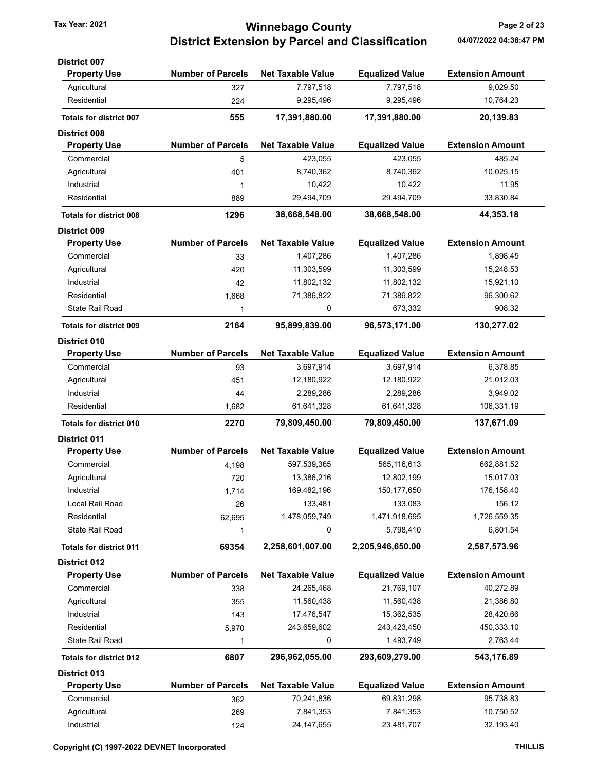# Tax Year: 2021 **1988 12:33 Tax Year: 2021** Page 2 of 23 District Extension by Parcel and Classification 04/07/2022 04:38:47 PM

| <b>District 007</b>            |                          |                          |                        |                         |
|--------------------------------|--------------------------|--------------------------|------------------------|-------------------------|
| <b>Property Use</b>            | <b>Number of Parcels</b> | <b>Net Taxable Value</b> | <b>Equalized Value</b> | <b>Extension Amount</b> |
| Agricultural                   | 327                      | 7,797,518                | 7,797,518              | 9,029.50                |
| Residential                    | 224                      | 9,295,496                | 9,295,496              | 10,764.23               |
| <b>Totals for district 007</b> | 555                      | 17,391,880.00            | 17,391,880.00          | 20,139.83               |
| <b>District 008</b>            |                          |                          |                        |                         |
| <b>Property Use</b>            | <b>Number of Parcels</b> | <b>Net Taxable Value</b> | <b>Equalized Value</b> | <b>Extension Amount</b> |
| Commercial                     | 5                        | 423,055                  | 423,055                | 485.24                  |
| Agricultural                   | 401                      | 8,740,362                | 8,740,362              | 10,025.15               |
| Industrial                     | 1                        | 10,422                   | 10,422                 | 11.95                   |
| Residential                    | 889                      | 29,494,709               | 29,494,709             | 33,830.84               |
| <b>Totals for district 008</b> | 1296                     | 38,668,548.00            | 38,668,548.00          | 44,353.18               |
| <b>District 009</b>            |                          |                          |                        |                         |
| <b>Property Use</b>            | <b>Number of Parcels</b> | <b>Net Taxable Value</b> | <b>Equalized Value</b> | <b>Extension Amount</b> |
| Commercial                     | 33                       | 1,407,286                | 1,407,286              | 1,898.45                |
| Agricultural                   | 420                      | 11,303,599               | 11,303,599             | 15,248.53               |
| Industrial                     | 42                       | 11,802,132               | 11,802,132             | 15,921.10               |
| Residential                    | 1,668                    | 71,386,822               | 71,386,822             | 96,300.62               |
| State Rail Road                | 1                        | 0                        | 673,332                | 908.32                  |
| <b>Totals for district 009</b> | 2164                     | 95,899,839.00            | 96,573,171.00          | 130,277.02              |
| <b>District 010</b>            |                          |                          |                        |                         |
| <b>Property Use</b>            | <b>Number of Parcels</b> | <b>Net Taxable Value</b> | <b>Equalized Value</b> | <b>Extension Amount</b> |
| Commercial                     | 93                       | 3,697,914                | 3,697,914              | 6,378.85                |
| Agricultural                   | 451                      | 12,180,922               | 12,180,922             | 21,012.03               |
| Industrial                     | 44                       | 2,289,286                | 2,289,286              | 3,949.02                |
| Residential                    | 1,682                    | 61,641,328               | 61,641,328             | 106,331.19              |
| <b>Totals for district 010</b> | 2270                     | 79,809,450.00            | 79,809,450.00          | 137,671.09              |
| <b>District 011</b>            |                          |                          |                        |                         |
| <b>Property Use</b>            | <b>Number of Parcels</b> | <b>Net Taxable Value</b> | <b>Equalized Value</b> | <b>Extension Amount</b> |
| Commercial                     | 4,198                    | 597,539,365              | 565,116,613            | 662,881.52              |
| Agricultural                   | 720                      | 13,386,216               | 12,802,199             | 15,017.03               |
| Industrial                     | 1,714                    | 169,482,196              | 150, 177, 650          | 176,158.40              |
| Local Rail Road                | 26                       | 133,481                  | 133,083                | 156.12                  |
| Residential                    | 62,695                   | 1,478,059,749            | 1,471,918,695          | 1,726,559.35            |
| <b>State Rail Road</b>         | 1                        | 0                        | 5,798,410              | 6,801.54                |
| <b>Totals for district 011</b> | 69354                    | 2,258,601,007.00         | 2,205,946,650.00       | 2,587,573.96            |
| <b>District 012</b>            |                          |                          |                        |                         |
| <b>Property Use</b>            | <b>Number of Parcels</b> | <b>Net Taxable Value</b> | <b>Equalized Value</b> | <b>Extension Amount</b> |
| Commercial                     | 338                      | 24,265,468               | 21,769,107             | 40,272.89               |
| Agricultural                   | 355                      | 11,560,438               | 11,560,438             | 21,386.80               |
| Industrial                     | 143                      | 17,476,547               | 15,362,535             | 28,420.66               |
| Residential                    | 5,970                    | 243,659,602              | 243,423,450            | 450,333.10              |
| State Rail Road                | 1                        | 0                        | 1,493,749              | 2,763.44                |
| <b>Totals for district 012</b> | 6807                     | 296,962,055.00           | 293,609,279.00         | 543,176.89              |
| District 013                   |                          |                          |                        |                         |
| <b>Property Use</b>            | <b>Number of Parcels</b> | <b>Net Taxable Value</b> | <b>Equalized Value</b> | <b>Extension Amount</b> |
| Commercial                     | 362                      | 70,241,836               | 69,831,298             | 95,738.83               |
| Agricultural                   |                          |                          |                        | 10,750.52               |
|                                | 269                      | 7,841,353                | 7,841,353              |                         |

Industrial 124 24,147,655 23,481,707 32,193.40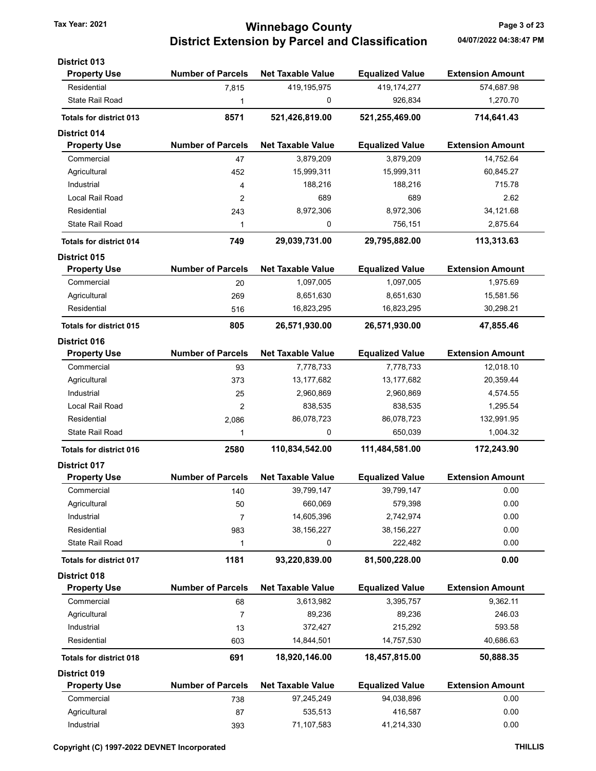# Tax Year: 2021 **Winnebago County Tax Year: 2021** Page 3 of 23 District Extension by Parcel and Classification 04/07/2022 04:38:47 PM

| <b>District 013</b>            |                          |                          |                        |                         |
|--------------------------------|--------------------------|--------------------------|------------------------|-------------------------|
| <b>Property Use</b>            | <b>Number of Parcels</b> | <b>Net Taxable Value</b> | <b>Equalized Value</b> | <b>Extension Amount</b> |
| Residential                    | 7,815                    | 419,195,975              | 419, 174, 277          | 574,687.98              |
| <b>State Rail Road</b>         | 1                        | 0                        | 926,834                | 1,270.70                |
| <b>Totals for district 013</b> | 8571                     | 521,426,819.00           | 521,255,469.00         | 714,641.43              |
| <b>District 014</b>            |                          |                          |                        |                         |
| <b>Property Use</b>            | <b>Number of Parcels</b> | <b>Net Taxable Value</b> | <b>Equalized Value</b> | <b>Extension Amount</b> |
| Commercial                     | 47                       | 3,879,209                | 3,879,209              | 14,752.64               |
| Agricultural                   | 452                      | 15,999,311               | 15,999,311             | 60,845.27               |
| Industrial                     | 4                        | 188,216                  | 188,216                | 715.78                  |
| Local Rail Road                | 2                        | 689                      | 689                    | 2.62                    |
| Residential                    | 243                      | 8,972,306                | 8,972,306              | 34,121.68               |
| <b>State Rail Road</b>         | 1                        | 0                        | 756,151                | 2,875.64                |
| <b>Totals for district 014</b> | 749                      | 29,039,731.00            | 29,795,882.00          | 113,313.63              |
| <b>District 015</b>            |                          |                          |                        |                         |
| <b>Property Use</b>            | <b>Number of Parcels</b> | <b>Net Taxable Value</b> | <b>Equalized Value</b> | <b>Extension Amount</b> |
| Commercial                     | 20                       | 1,097,005                | 1,097,005              | 1,975.69                |
| Agricultural                   | 269                      | 8,651,630                | 8,651,630              | 15,581.56               |
| Residential                    | 516                      | 16,823,295               | 16,823,295             | 30,298.21               |
| <b>Totals for district 015</b> | 805                      | 26,571,930.00            | 26,571,930.00          | 47,855.46               |
| <b>District 016</b>            |                          |                          |                        |                         |
| <b>Property Use</b>            | <b>Number of Parcels</b> | <b>Net Taxable Value</b> | <b>Equalized Value</b> | <b>Extension Amount</b> |
| Commercial                     | 93                       | 7,778,733                | 7,778,733              | 12,018.10               |
| Agricultural                   | 373                      | 13,177,682               | 13,177,682             | 20,359.44               |
| Industrial                     | 25                       | 2,960,869                | 2,960,869              | 4,574.55                |
| Local Rail Road                | 2                        | 838,535                  | 838,535                | 1,295.54                |
| Residential                    | 2,086                    | 86,078,723               | 86,078,723             | 132,991.95              |
| <b>State Rail Road</b>         | 1                        | 0                        | 650,039                | 1,004.32                |
| <b>Totals for district 016</b> | 2580                     | 110,834,542.00           | 111,484,581.00         | 172,243.90              |
| <b>District 017</b>            |                          |                          |                        |                         |
| <b>Property Use</b>            | <b>Number of Parcels</b> | <b>Net Taxable Value</b> | <b>Equalized Value</b> | <b>Extension Amount</b> |
| Commercial                     | 140                      | 39,799,147               | 39,799,147             | 0.00                    |
| Agricultural                   | 50                       | 660,069                  | 579,398                | 0.00                    |
| Industrial                     | 7                        | 14,605,396               | 2,742,974              | 0.00                    |
| Residential                    | 983                      | 38,156,227               | 38, 156, 227           | 0.00                    |
| <b>State Rail Road</b>         | 1                        | 0                        | 222,482                | 0.00                    |
| <b>Totals for district 017</b> | 1181                     | 93,220,839.00            | 81,500,228.00          | 0.00                    |
| District 018                   |                          |                          |                        |                         |
| <b>Property Use</b>            | <b>Number of Parcels</b> | <b>Net Taxable Value</b> | <b>Equalized Value</b> | <b>Extension Amount</b> |
| Commercial                     | 68                       | 3,613,982                | 3,395,757              | 9,362.11                |
| Agricultural                   | 7                        | 89,236                   | 89,236                 | 246.03                  |
| Industrial                     | 13                       | 372,427                  | 215,292                | 593.58                  |
| Residential                    | 603                      | 14,844,501               | 14,757,530             | 40,686.63               |
| <b>Totals for district 018</b> | 691                      | 18,920,146.00            | 18,457,815.00          | 50,888.35               |
| <b>District 019</b>            |                          |                          |                        |                         |
| <b>Property Use</b>            | <b>Number of Parcels</b> | <b>Net Taxable Value</b> | <b>Equalized Value</b> | <b>Extension Amount</b> |
| Commercial                     | 738                      | 97,245,249               | 94,038,896             | 0.00                    |
| Agricultural                   | 87                       | 535,513                  | 416,587                | 0.00                    |
| Industrial                     | 393                      | 71,107,583               | 41,214,330             | 0.00                    |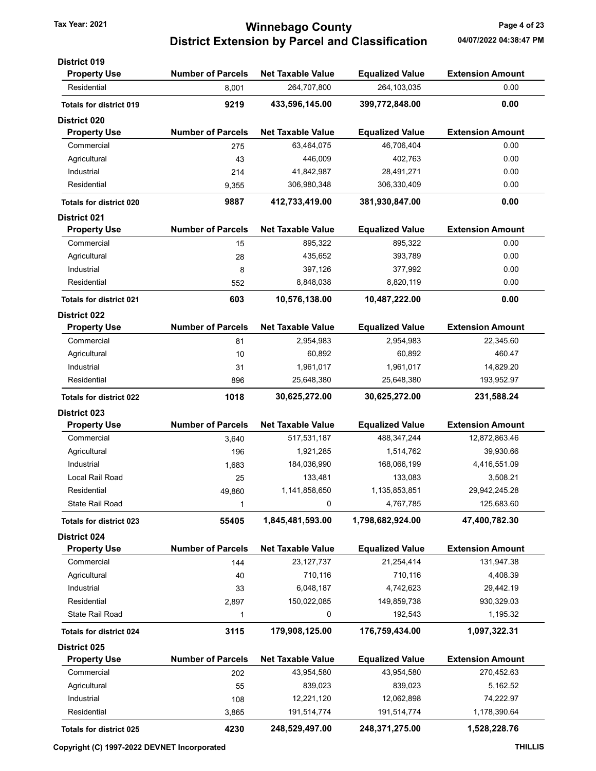## Tax Year: 2021 **Tax Year: 2021 Page 4 of 23** District Extension by Parcel and Classification 04/07/2022 04:38:47 PM

| <b>District 019</b>            |                          |                          |                        |                         |
|--------------------------------|--------------------------|--------------------------|------------------------|-------------------------|
| <b>Property Use</b>            | <b>Number of Parcels</b> | <b>Net Taxable Value</b> | <b>Equalized Value</b> | <b>Extension Amount</b> |
| Residential                    | 8,001                    | 264,707,800              | 264,103,035            | 0.00                    |
| <b>Totals for district 019</b> | 9219                     | 433,596,145.00           | 399,772,848.00         | 0.00                    |
| <b>District 020</b>            |                          |                          |                        |                         |
| <b>Property Use</b>            | <b>Number of Parcels</b> | <b>Net Taxable Value</b> | <b>Equalized Value</b> | <b>Extension Amount</b> |
| Commercial                     | 275                      | 63,464,075               | 46,706,404             | 0.00                    |
| Agricultural                   | 43                       | 446,009                  | 402,763                | 0.00                    |
| Industrial                     | 214                      | 41,842,987               | 28,491,271             | 0.00                    |
| Residential                    | 9,355                    | 306,980,348              | 306,330,409            | 0.00                    |
| <b>Totals for district 020</b> | 9887                     | 412,733,419.00           | 381,930,847.00         | 0.00                    |
| <b>District 021</b>            |                          |                          |                        |                         |
| <b>Property Use</b>            | <b>Number of Parcels</b> | <b>Net Taxable Value</b> | <b>Equalized Value</b> | <b>Extension Amount</b> |
| Commercial                     | 15                       | 895,322                  | 895,322                | 0.00                    |
| Agricultural                   | 28                       | 435,652                  | 393,789                | 0.00                    |
| Industrial                     | 8                        | 397,126                  | 377,992                | 0.00                    |
| Residential                    | 552                      | 8,848,038                | 8,820,119              | 0.00                    |
| <b>Totals for district 021</b> | 603                      | 10,576,138.00            | 10,487,222.00          | 0.00                    |
| <b>District 022</b>            |                          |                          |                        |                         |
| <b>Property Use</b>            | <b>Number of Parcels</b> | <b>Net Taxable Value</b> | <b>Equalized Value</b> | <b>Extension Amount</b> |
| Commercial                     | 81                       | 2,954,983                | 2,954,983              | 22,345.60               |
| Agricultural                   | 10                       | 60,892                   | 60,892                 | 460.47                  |
| Industrial                     | 31                       | 1,961,017                | 1,961,017              | 14,829.20               |
| Residential                    | 896                      | 25,648,380               | 25,648,380             | 193,952.97              |
| <b>Totals for district 022</b> | 1018                     | 30,625,272.00            | 30,625,272.00          | 231,588.24              |
| <b>District 023</b>            |                          |                          |                        |                         |
| <b>Property Use</b>            | <b>Number of Parcels</b> | <b>Net Taxable Value</b> | <b>Equalized Value</b> | <b>Extension Amount</b> |
| Commercial                     | 3,640                    | 517,531,187              | 488, 347, 244          | 12,872,863.46           |
| Agricultural                   | 196                      | 1,921,285                | 1,514,762              | 39,930.66               |
| Industrial                     | 1,683                    | 184,036,990              | 168,066,199            | 4,416,551.09            |
| Local Rail Road                | 25                       | 133,481                  | 133,083                | 3,508.21                |
| Residential                    | 49,860                   | 1,141,858,650            | 1,135,853,851          | 29,942,245.28           |
| State Rail Road                | 1                        | 0                        | 4,767,785              | 125,683.60              |
| <b>Totals for district 023</b> | 55405                    | 1,845,481,593.00         | 1,798,682,924.00       | 47,400,782.30           |
| District 024                   |                          |                          |                        |                         |
| <b>Property Use</b>            | <b>Number of Parcels</b> | <b>Net Taxable Value</b> | <b>Equalized Value</b> | <b>Extension Amount</b> |
| Commercial                     | 144                      | 23, 127, 737             | 21,254,414             | 131,947.38              |
| Agricultural                   | 40                       | 710,116                  | 710,116                | 4,408.39                |
| Industrial                     | 33                       | 6,048,187                | 4,742,623              | 29,442.19               |
| Residential                    | 2,897                    | 150,022,085              | 149,859,738            | 930,329.03              |
| State Rail Road                | 1                        | 0                        | 192,543                | 1,195.32                |
| <b>Totals for district 024</b> | 3115                     | 179,908,125.00           | 176,759,434.00         | 1,097,322.31            |
| District 025                   |                          |                          |                        |                         |
| <b>Property Use</b>            | <b>Number of Parcels</b> | <b>Net Taxable Value</b> | <b>Equalized Value</b> | <b>Extension Amount</b> |
| Commercial                     | 202                      | 43,954,580               | 43,954,580             | 270,452.63              |
| Agricultural                   | 55                       | 839,023                  | 839,023                | 5,162.52                |
| Industrial                     | 108                      | 12,221,120               | 12,062,898             | 74,222.97               |
| Residential                    | 3,865                    | 191,514,774              | 191,514,774            | 1,178,390.64            |
|                                |                          |                          |                        |                         |
| <b>Totals for district 025</b> | 4230                     | 248,529,497.00           | 248,371,275.00         | 1,528,228.76            |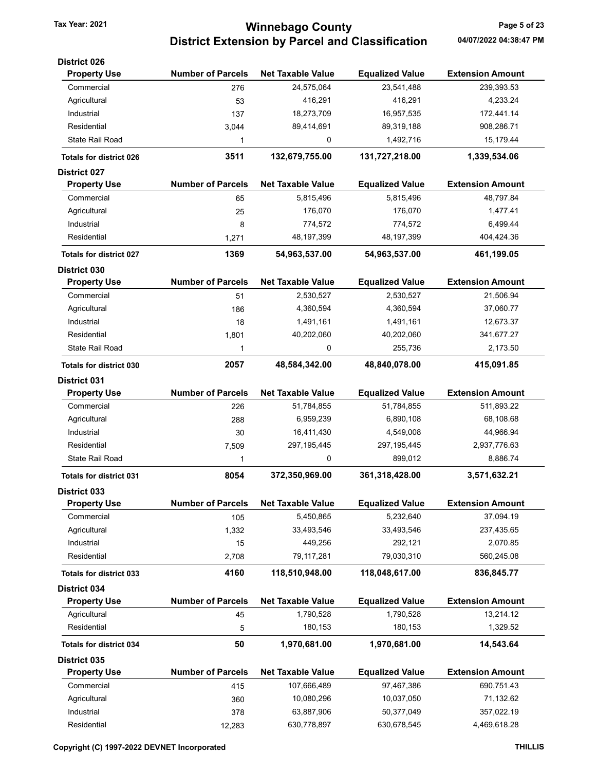# Tax Year: 2021 **Winnebago County Tax Year: 2021** Page 5 of 23 District Extension by Parcel and Classification 04/07/2022 04:38:47 PM

| <b>Equalized Value</b> | <b>Extension Amount</b>                 |
|------------------------|-----------------------------------------|
| 23,541,488             | 239,393.53                              |
| 416,291                | 4,233.24                                |
| 16,957,535             | 172,441.14                              |
| 89,319,188             | 908,286.71                              |
| 1,492,716              | 15,179.44                               |
| 131,727,218.00         | 1,339,534.06                            |
|                        |                                         |
| <b>Equalized Value</b> | <b>Extension Amount</b>                 |
| 5,815,496              | 48,797.84                               |
| 176,070                | 1,477.41                                |
| 774,572                | 6,499.44                                |
| 48,197,399             | 404,424.36                              |
| 54,963,537.00          | 461,199.05                              |
|                        |                                         |
| <b>Equalized Value</b> | <b>Extension Amount</b>                 |
| 2,530,527              | 21,506.94                               |
| 4,360,594              | 37,060.77                               |
| 1,491,161              | 12,673.37                               |
| 40,202,060             | 341,677.27                              |
| 255,736                | 2,173.50                                |
| 48,840,078.00          | 415,091.85                              |
|                        |                                         |
|                        | <b>Extension Amount</b>                 |
| 51,784,855             | 511,893.22                              |
| 6,890,108              | 68,108.68                               |
| 4,549,008              | 44,966.94                               |
|                        | 2,937,776.63                            |
| 899,012                | 8,886.74                                |
| 361,318,428.00         | 3,571,632.21                            |
|                        |                                         |
| <b>Equalized Value</b> | <b>Extension Amount</b>                 |
| 5,232,640              | 37,094.19                               |
| 33,493,546             | 237,435.65                              |
| 292,121                | 2,070.85                                |
| 79,030,310             | 560,245.08                              |
| 118,048,617.00         | 836,845.77                              |
|                        |                                         |
| <b>Equalized Value</b> | <b>Extension Amount</b>                 |
| 1,790,528              | 13,214.12                               |
| 180,153                | 1,329.52                                |
|                        |                                         |
| 1,970,681.00           | 14,543.64                               |
|                        |                                         |
| <b>Equalized Value</b> | <b>Extension Amount</b>                 |
| 97,467,386             | 690,751.43                              |
| 10,037,050             | 71,132.62                               |
| 50,377,049             | 357,022.19                              |
|                        | <b>Equalized Value</b><br>297, 195, 445 |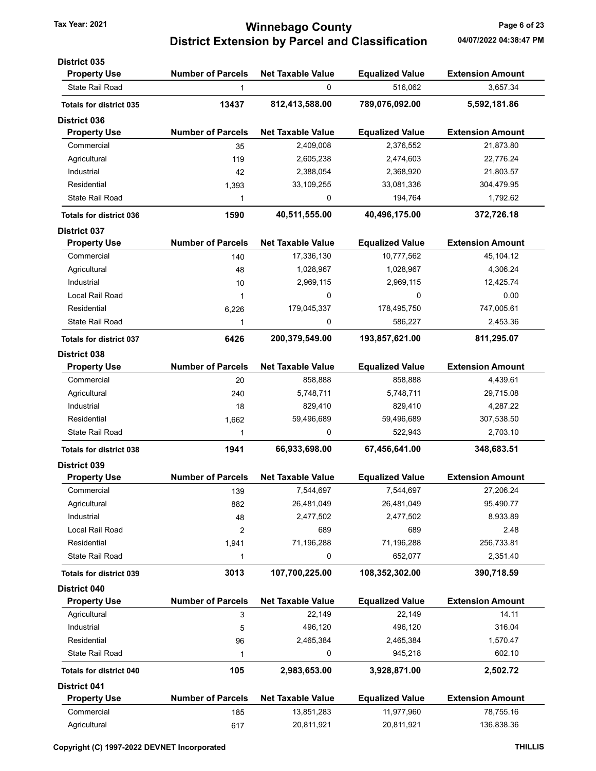# Tax Year: 2021 **Winnebago County Tax Year: 2021** Page 6 of 23 District Extension by Parcel and Classification 04/07/2022 04:38:47 PM

| <b>District 035</b>            |                          |                          |                        |                         |
|--------------------------------|--------------------------|--------------------------|------------------------|-------------------------|
| <b>Property Use</b>            | <b>Number of Parcels</b> | <b>Net Taxable Value</b> | <b>Equalized Value</b> | <b>Extension Amount</b> |
| <b>State Rail Road</b>         | 1                        | 0                        | 516,062                | 3,657.34                |
| <b>Totals for district 035</b> | 13437                    | 812,413,588.00           | 789,076,092.00         | 5,592,181.86            |
| <b>District 036</b>            |                          |                          |                        |                         |
| <b>Property Use</b>            | <b>Number of Parcels</b> | <b>Net Taxable Value</b> | <b>Equalized Value</b> | <b>Extension Amount</b> |
| Commercial                     | 35                       | 2,409,008                | 2,376,552              | 21,873.80               |
| Agricultural                   | 119                      | 2,605,238                | 2,474,603              | 22,776.24               |
| Industrial                     | 42                       | 2,388,054                | 2,368,920              | 21,803.57               |
| Residential                    | 1,393                    | 33,109,255               | 33,081,336             | 304,479.95              |
| <b>State Rail Road</b>         | 1                        | 0                        | 194,764                | 1,792.62                |
| <b>Totals for district 036</b> | 1590                     | 40,511,555.00            | 40,496,175.00          | 372,726.18              |
| <b>District 037</b>            |                          |                          |                        |                         |
| <b>Property Use</b>            | <b>Number of Parcels</b> | <b>Net Taxable Value</b> | <b>Equalized Value</b> | <b>Extension Amount</b> |
| Commercial                     | 140                      | 17,336,130               | 10,777,562             | 45,104.12               |
| Agricultural                   | 48                       | 1,028,967                | 1,028,967              | 4,306.24                |
| Industrial                     | 10                       | 2,969,115                | 2,969,115              | 12,425.74               |
| Local Rail Road                | 1                        | 0                        | 0                      | 0.00                    |
| Residential                    | 6,226                    | 179,045,337              | 178,495,750            | 747,005.61              |
| <b>State Rail Road</b>         | 1                        | 0                        | 586,227                | 2,453.36                |
| <b>Totals for district 037</b> | 6426                     | 200,379,549.00           | 193,857,621.00         | 811,295.07              |
| District 038                   |                          |                          |                        |                         |
| <b>Property Use</b>            | <b>Number of Parcels</b> | <b>Net Taxable Value</b> | <b>Equalized Value</b> | <b>Extension Amount</b> |
| Commercial                     | 20                       | 858,888                  | 858,888                | 4,439.61                |
| Agricultural                   | 240                      | 5,748,711                | 5,748,711              | 29,715.08               |
| Industrial                     | 18                       | 829,410                  | 829,410                | 4,287.22                |
| Residential                    | 1,662                    | 59,496,689               | 59,496,689             | 307,538.50              |
| <b>State Rail Road</b>         | 1                        | 0                        | 522,943                | 2,703.10                |
| <b>Totals for district 038</b> | 1941                     | 66,933,698.00            | 67,456,641.00          | 348,683.51              |
| <b>District 039</b>            |                          |                          |                        |                         |
| <b>Property Use</b>            | <b>Number of Parcels</b> | <b>Net Taxable Value</b> | <b>Equalized Value</b> | <b>Extension Amount</b> |
| Commercial                     | 139                      | 7,544,697                | 7,544,697              | 27,206.24               |
| Agricultural                   | 882                      | 26,481,049               | 26,481,049             | 95,490.77               |
| Industrial                     | 48                       | 2,477,502                | 2,477,502              | 8,933.89                |
| <b>Local Rail Road</b>         | $\overline{2}$           | 689                      | 689                    | 2.48                    |
| Residential                    | 1,941                    | 71,196,288               | 71,196,288             | 256,733.81              |
| <b>State Rail Road</b>         | 1                        | 0                        | 652,077                | 2,351.40                |
| <b>Totals for district 039</b> | 3013                     | 107,700,225.00           | 108,352,302.00         | 390,718.59              |
| District 040                   |                          |                          |                        |                         |
| <b>Property Use</b>            | <b>Number of Parcels</b> | <b>Net Taxable Value</b> | <b>Equalized Value</b> | <b>Extension Amount</b> |
| Agricultural                   | 3                        | 22,149                   | 22,149                 | 14.11                   |
| Industrial                     | 5                        | 496,120                  | 496,120                | 316.04                  |
| Residential                    | 96                       | 2,465,384                | 2,465,384              | 1,570.47                |
| State Rail Road                | 1                        | 0                        | 945,218                | 602.10                  |
| <b>Totals for district 040</b> | 105                      | 2,983,653.00             | 3,928,871.00           | 2,502.72                |
| <b>District 041</b>            |                          |                          |                        |                         |
| <b>Property Use</b>            | <b>Number of Parcels</b> | <b>Net Taxable Value</b> | <b>Equalized Value</b> | <b>Extension Amount</b> |
| Commercial                     | 185                      | 13,851,283               | 11,977,960             | 78,755.16               |
| Agricultural                   | 617                      | 20,811,921               | 20,811,921             | 136,838.36              |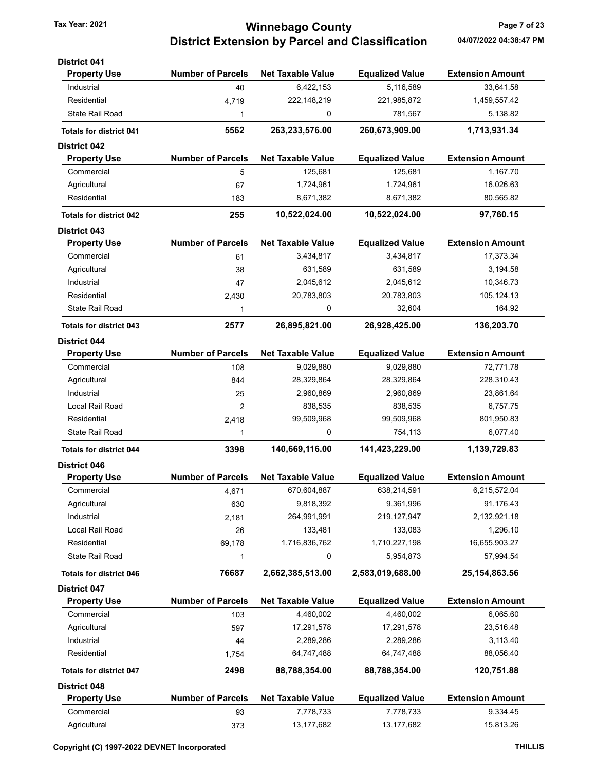# Tax Year: 2021 **Winnebago County Tax Year: 2021** Page 7 of 23 District Extension by Parcel and Classification 04/07/2022 04:38:47 PM

| <b>District 041</b>            |                          |                          |                        |                         |
|--------------------------------|--------------------------|--------------------------|------------------------|-------------------------|
| <b>Property Use</b>            | <b>Number of Parcels</b> | <b>Net Taxable Value</b> | <b>Equalized Value</b> | <b>Extension Amount</b> |
| Industrial                     | 40                       | 6,422,153                | 5,116,589              | 33,641.58               |
| Residential                    | 4,719                    | 222, 148, 219            | 221,985,872            | 1,459,557.42            |
| <b>State Rail Road</b>         | 1                        | 0                        | 781,567                | 5,138.82                |
| <b>Totals for district 041</b> | 5562                     | 263,233,576.00           | 260,673,909.00         | 1,713,931.34            |
| <b>District 042</b>            |                          |                          |                        |                         |
| <b>Property Use</b>            | <b>Number of Parcels</b> | <b>Net Taxable Value</b> | <b>Equalized Value</b> | <b>Extension Amount</b> |
| Commercial                     | 5                        | 125,681                  | 125,681                | 1,167.70                |
| Agricultural                   | 67                       | 1,724,961                | 1,724,961              | 16,026.63               |
| Residential                    | 183                      | 8,671,382                | 8,671,382              | 80,565.82               |
| <b>Totals for district 042</b> | 255                      | 10,522,024.00            | 10,522,024.00          | 97,760.15               |
| <b>District 043</b>            |                          |                          |                        |                         |
| <b>Property Use</b>            | <b>Number of Parcels</b> | <b>Net Taxable Value</b> | <b>Equalized Value</b> | <b>Extension Amount</b> |
| Commercial                     | 61                       | 3,434,817                | 3,434,817              | 17,373.34               |
| Agricultural                   | 38                       | 631,589                  | 631,589                | 3,194.58                |
| Industrial                     | 47                       | 2,045,612                | 2,045,612              | 10,346.73               |
| Residential                    | 2,430                    | 20,783,803               | 20,783,803             | 105, 124. 13            |
| State Rail Road                | 1                        | $\mathbf 0$              | 32,604                 | 164.92                  |
| <b>Totals for district 043</b> | 2577                     | 26,895,821.00            | 26,928,425.00          | 136,203.70              |
| <b>District 044</b>            |                          |                          |                        |                         |
| <b>Property Use</b>            | <b>Number of Parcels</b> | <b>Net Taxable Value</b> | <b>Equalized Value</b> | <b>Extension Amount</b> |
| Commercial                     | 108                      | 9,029,880                | 9,029,880              | 72,771.78               |
| Agricultural                   | 844                      | 28,329,864               | 28,329,864             | 228,310.43              |
| Industrial                     | 25                       | 2,960,869                | 2,960,869              | 23,861.64               |
| Local Rail Road                | 2                        | 838,535                  | 838,535                | 6,757.75                |
| Residential                    | 2,418                    | 99,509,968               | 99,509,968             | 801,950.83              |
| <b>State Rail Road</b>         | 1                        | 0                        | 754,113                | 6,077.40                |
| <b>Totals for district 044</b> | 3398                     | 140,669,116.00           | 141,423,229.00         | 1,139,729.83            |
| <b>District 046</b>            |                          |                          |                        |                         |
| <b>Property Use</b>            | <b>Number of Parcels</b> | <b>Net Taxable Value</b> | <b>Equalized Value</b> | <b>Extension Amount</b> |
| Commercial                     | 4,671                    | 670,604,887              | 638,214,591            | 6,215,572.04            |
| Agricultural                   | 630                      | 9,818,392                | 9,361,996              | 91,176.43               |
| Industrial                     | 2,181                    | 264,991,991              | 219, 127, 947          | 2,132,921.18            |
| <b>Local Rail Road</b>         | 26                       | 133,481                  | 133,083                | 1,296.10                |
| Residential                    | 69,178                   | 1,716,836,762            | 1,710,227,198          | 16,655,903.27           |
| State Rail Road                | 1                        | 0                        | 5,954,873              | 57,994.54               |
| <b>Totals for district 046</b> | 76687                    | 2,662,385,513.00         | 2,583,019,688.00       | 25, 154, 863. 56        |
| <b>District 047</b>            |                          |                          |                        |                         |
| <b>Property Use</b>            | <b>Number of Parcels</b> | <b>Net Taxable Value</b> | <b>Equalized Value</b> | <b>Extension Amount</b> |
| Commercial                     | 103                      | 4,460,002                | 4,460,002              | 6,065.60                |
| Agricultural                   | 597                      | 17,291,578               | 17,291,578             | 23,516.48               |
| Industrial                     | 44                       | 2,289,286                | 2,289,286              | 3,113.40                |
| Residential                    | 1,754                    | 64,747,488               | 64,747,488             | 88,056.40               |
| <b>Totals for district 047</b> | 2498                     | 88,788,354.00            | 88,788,354.00          | 120,751.88              |
| <b>District 048</b>            |                          |                          |                        |                         |
| <b>Property Use</b>            | <b>Number of Parcels</b> | <b>Net Taxable Value</b> | <b>Equalized Value</b> | <b>Extension Amount</b> |
| Commercial                     | 93                       | 7,778,733                | 7,778,733              | 9,334.45                |
| Agricultural                   | 373                      | 13, 177, 682             | 13,177,682             | 15,813.26               |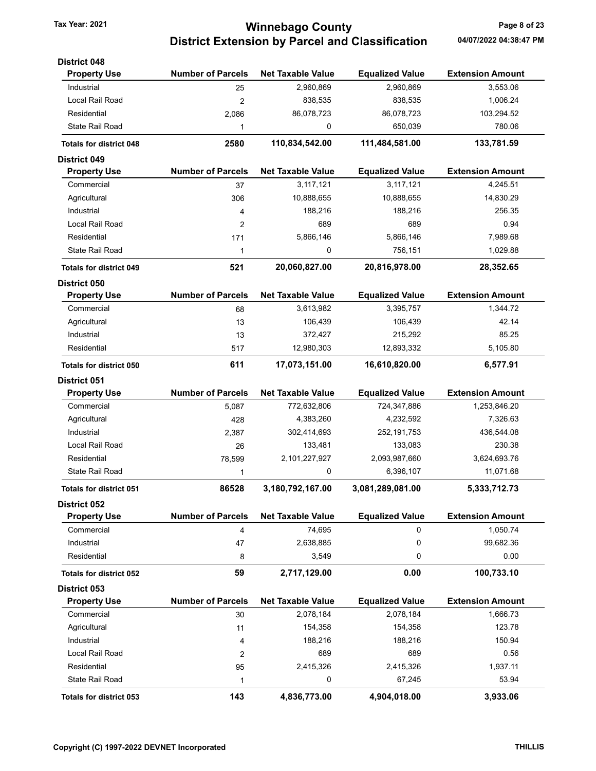# Tax Year: 2021 **Winnebago County Tax Year: 2021** Page 8 of 23 District Extension by Parcel and Classification 04/07/2022 04:38:47 PM

| <b>District 048</b>            |                          |                          |                        |                         |
|--------------------------------|--------------------------|--------------------------|------------------------|-------------------------|
| <b>Property Use</b>            | <b>Number of Parcels</b> | <b>Net Taxable Value</b> | <b>Equalized Value</b> | <b>Extension Amount</b> |
| Industrial                     | 25                       | 2,960,869                | 2,960,869              | 3,553.06                |
| Local Rail Road                | $\overline{2}$           | 838,535                  | 838,535                | 1,006.24                |
| Residential                    | 2,086                    | 86,078,723               | 86,078,723             | 103,294.52              |
| <b>State Rail Road</b>         | 1                        | 0                        | 650,039                | 780.06                  |
| <b>Totals for district 048</b> | 2580                     | 110,834,542.00           | 111,484,581.00         | 133,781.59              |
| <b>District 049</b>            |                          |                          |                        |                         |
| <b>Property Use</b>            | <b>Number of Parcels</b> | <b>Net Taxable Value</b> | <b>Equalized Value</b> | <b>Extension Amount</b> |
| Commercial                     | 37                       | 3,117,121                | 3,117,121              | 4,245.51                |
| Agricultural                   | 306                      | 10,888,655               | 10,888,655             | 14,830.29               |
| Industrial                     | 4                        | 188,216                  | 188,216                | 256.35                  |
| Local Rail Road                | 2                        | 689                      | 689                    | 0.94                    |
| Residential                    | 171                      | 5,866,146                | 5,866,146              | 7,989.68                |
| <b>State Rail Road</b>         | 1                        | 0                        | 756,151                | 1,029.88                |
| <b>Totals for district 049</b> | 521                      | 20,060,827.00            | 20,816,978.00          | 28,352.65               |
| <b>District 050</b>            |                          |                          |                        |                         |
| <b>Property Use</b>            | <b>Number of Parcels</b> | <b>Net Taxable Value</b> | <b>Equalized Value</b> | <b>Extension Amount</b> |
| Commercial                     | 68                       | 3,613,982                | 3,395,757              | 1,344.72                |
| Agricultural                   | 13                       | 106,439                  | 106,439                | 42.14                   |
| Industrial                     | 13                       | 372,427                  | 215,292                | 85.25                   |
| Residential                    | 517                      | 12,980,303               | 12,893,332             | 5,105.80                |
| <b>Totals for district 050</b> | 611                      | 17,073,151.00            | 16,610,820.00          | 6,577.91                |
| <b>District 051</b>            |                          |                          |                        |                         |
| <b>Property Use</b>            | <b>Number of Parcels</b> | <b>Net Taxable Value</b> | <b>Equalized Value</b> | <b>Extension Amount</b> |
| Commercial                     | 5,087                    | 772,632,806              | 724,347,886            | 1,253,846.20            |
| Agricultural                   | 428                      | 4,383,260                | 4,232,592              | 7,326.63                |
| Industrial                     | 2,387                    | 302,414,693              | 252, 191, 753          | 436,544.08              |
| Local Rail Road                | 26                       | 133,481                  | 133,083                | 230.38                  |
| Residential                    | 78,599                   | 2,101,227,927            | 2,093,987,660          | 3,624,693.76            |
| <b>State Rail Road</b>         | 1                        | 0                        | 6,396,107              | 11,071.68               |
| <b>Totals for district 051</b> | 86528                    | 3,180,792,167.00         | 3,081,289,081.00       | 5,333,712.73            |
| <b>District 052</b>            |                          |                          |                        |                         |
| <b>Property Use</b>            | <b>Number of Parcels</b> | <b>Net Taxable Value</b> | <b>Equalized Value</b> | <b>Extension Amount</b> |
| Commercial                     | 4                        | 74,695                   | $\mathbf 0$            | 1,050.74                |
| Industrial                     | 47                       | 2,638,885                | 0                      | 99,682.36               |
| Residential                    | 8                        | 3,549                    | 0                      | 0.00                    |
| <b>Totals for district 052</b> | 59                       | 2,717,129.00             | 0.00                   | 100,733.10              |
| <b>District 053</b>            |                          |                          |                        |                         |
| <b>Property Use</b>            | <b>Number of Parcels</b> | <b>Net Taxable Value</b> | <b>Equalized Value</b> | <b>Extension Amount</b> |
| Commercial                     | 30                       | 2,078,184                | 2,078,184              | 1,666.73                |
| Agricultural                   | 11                       | 154,358                  | 154,358                | 123.78                  |
| Industrial                     | 4                        | 188,216                  | 188,216                | 150.94                  |
| Local Rail Road                | 2                        | 689                      | 689                    | 0.56                    |
| Residential                    | 95                       | 2,415,326                | 2,415,326              | 1,937.11                |
| <b>State Rail Road</b>         | 1                        | 0                        | 67,245                 | 53.94                   |
| <b>Totals for district 053</b> | 143                      | 4,836,773.00             | 4,904,018.00           | 3,933.06                |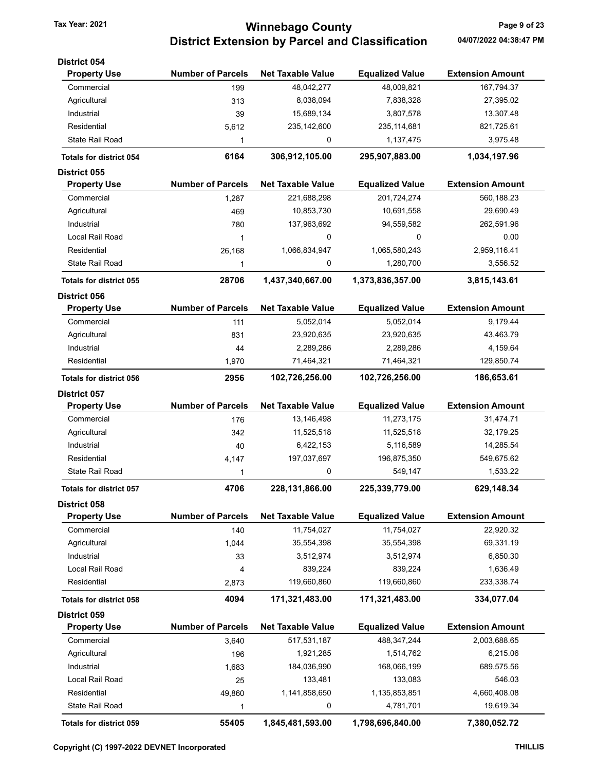# Tax Year: 2021 **Winnebago County Tax Year: 2021** Page 9 of 23 District Extension by Parcel and Classification 04/07/2022 04:38:47 PM

| <b>District 054</b>            |                          |                          |                        |                         |
|--------------------------------|--------------------------|--------------------------|------------------------|-------------------------|
| <b>Property Use</b>            | <b>Number of Parcels</b> | <b>Net Taxable Value</b> | <b>Equalized Value</b> | <b>Extension Amount</b> |
| Commercial                     | 199                      | 48,042,277               | 48,009,821             | 167,794.37              |
| Agricultural                   | 313                      | 8,038,094                | 7,838,328              | 27,395.02               |
| Industrial                     | 39                       | 15,689,134               | 3,807,578              | 13,307.48               |
| Residential                    | 5,612                    | 235, 142, 600            | 235, 114, 681          | 821,725.61              |
| State Rail Road                | 1                        | 0                        | 1,137,475              | 3,975.48                |
| <b>Totals for district 054</b> | 6164                     | 306,912,105.00           | 295,907,883.00         | 1,034,197.96            |
| <b>District 055</b>            |                          |                          |                        |                         |
| <b>Property Use</b>            | <b>Number of Parcels</b> | <b>Net Taxable Value</b> | <b>Equalized Value</b> | <b>Extension Amount</b> |
| Commercial                     | 1,287                    | 221,688,298              | 201,724,274            | 560,188.23              |
| Agricultural                   | 469                      | 10,853,730               | 10,691,558             | 29,690.49               |
| Industrial                     | 780                      | 137,963,692              | 94,559,582             | 262,591.96              |
| Local Rail Road                | $\mathbf{1}$             | 0                        | 0                      | 0.00                    |
| Residential                    | 26,168                   | 1,066,834,947            | 1,065,580,243          | 2,959,116.41            |
| State Rail Road                | 1                        | 0                        | 1,280,700              | 3,556.52                |
| <b>Totals for district 055</b> | 28706                    | 1,437,340,667.00         | 1,373,836,357.00       | 3,815,143.61            |
| <b>District 056</b>            |                          |                          |                        |                         |
| <b>Property Use</b>            | <b>Number of Parcels</b> | <b>Net Taxable Value</b> | <b>Equalized Value</b> | <b>Extension Amount</b> |
| Commercial                     | 111                      | 5,052,014                | 5,052,014              | 9,179.44                |
| Agricultural                   | 831                      | 23,920,635               | 23,920,635             | 43,463.79               |
| Industrial                     | 44                       | 2,289,286                | 2,289,286              | 4,159.64                |
| Residential                    | 1,970                    | 71,464,321               | 71,464,321             | 129,850.74              |
| <b>Totals for district 056</b> | 2956                     | 102,726,256.00           | 102,726,256.00         | 186,653.61              |
| <b>District 057</b>            |                          |                          |                        |                         |
| <b>Property Use</b>            | <b>Number of Parcels</b> | <b>Net Taxable Value</b> | <b>Equalized Value</b> | <b>Extension Amount</b> |
| Commercial                     | 176                      | 13,146,498               | 11,273,175             | 31,474.71               |
| Agricultural                   | 342                      | 11,525,518               | 11,525,518             | 32,179.25               |
| Industrial                     | 40                       | 6,422,153                | 5,116,589              | 14,285.54               |
| Residential                    | 4,147                    | 197,037,697              | 196,875,350            | 549,675.62              |
| <b>State Rail Road</b>         | 1                        | $\mathbf 0$              | 549,147                | 1,533.22                |
| <b>Totals for district 057</b> | 4706                     | 228,131,866.00           | 225,339,779.00         | 629,148.34              |
| <b>District 058</b>            |                          |                          |                        |                         |
| <b>Property Use</b>            | <b>Number of Parcels</b> | <b>Net Taxable Value</b> | <b>Equalized Value</b> | <b>Extension Amount</b> |
| Commercial                     | 140                      | 11,754,027               | 11,754,027             | 22,920.32               |
| Agricultural                   | 1,044                    | 35,554,398               | 35,554,398             | 69,331.19               |
| Industrial                     | 33                       | 3,512,974                | 3,512,974              | 6,850.30                |
| Local Rail Road                | 4                        | 839,224                  | 839,224                | 1,636.49                |
| Residential                    | 2,873                    | 119,660,860              | 119,660,860            | 233,338.74              |
| <b>Totals for district 058</b> | 4094                     | 171,321,483.00           | 171,321,483.00         | 334,077.04              |
| District 059                   |                          |                          |                        |                         |
| <b>Property Use</b>            | <b>Number of Parcels</b> | <b>Net Taxable Value</b> | <b>Equalized Value</b> | <b>Extension Amount</b> |
| Commercial                     | 3,640                    | 517,531,187              | 488, 347, 244          | 2,003,688.65            |
| Agricultural                   | 196                      | 1,921,285                | 1,514,762              | 6,215.06                |
| Industrial                     | 1,683                    | 184,036,990              | 168,066,199            | 689,575.56              |
| Local Rail Road                | 25                       | 133,481                  | 133,083                | 546.03                  |
| Residential                    | 49,860                   | 1,141,858,650            | 1,135,853,851          | 4,660,408.08            |
| State Rail Road                | 1                        | 0                        | 4,781,701              | 19,619.34               |
| Totals for district 059        | 55405                    | 1,845,481,593.00         | 1,798,696,840.00       | 7,380,052.72            |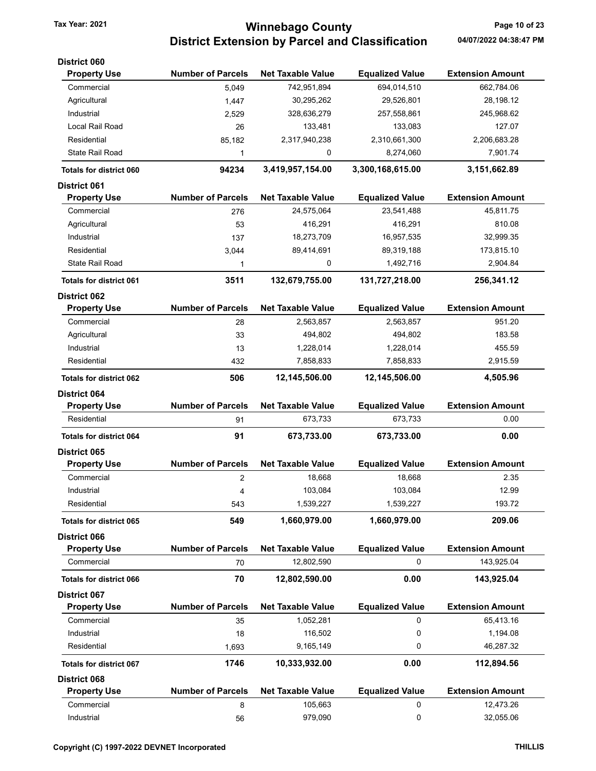# Tax Year: 2021 **1988 10 OCCULL COUNTY** Tax Year: 2021 **Page 10 of 23** District Extension by Parcel and Classification 04/07/2022 04:38:47 PM

| <b>Number of Parcels</b>      | <b>Net Taxable Value</b>            | <b>Equalized Value</b>      | <b>Extension Amount</b>              |
|-------------------------------|-------------------------------------|-----------------------------|--------------------------------------|
| 5,049                         | 742,951,894                         | 694,014,510                 | 662,784.06                           |
| 1,447                         | 30,295,262                          | 29,526,801                  | 28,198.12                            |
| 2,529                         | 328,636,279                         | 257,558,861                 | 245,968.62                           |
| 26                            | 133,481                             | 133,083                     | 127.07                               |
| 85,182                        | 2,317,940,238                       | 2,310,661,300               | 2,206,683.28                         |
| 1                             | 0                                   | 8,274,060                   | 7,901.74                             |
| 94234                         | 3,419,957,154.00                    | 3,300,168,615.00            | 3,151,662.89                         |
|                               |                                     |                             |                                      |
| <b>Number of Parcels</b>      | <b>Net Taxable Value</b>            | <b>Equalized Value</b>      | <b>Extension Amount</b>              |
| 276                           | 24,575,064                          | 23,541,488                  | 45,811.75                            |
| 53                            | 416,291                             | 416,291                     | 810.08                               |
| 137                           | 18,273,709                          | 16,957,535                  | 32,999.35                            |
| 3,044                         | 89,414,691                          | 89,319,188                  | 173,815.10                           |
| 1                             | 0                                   | 1,492,716                   | 2,904.84                             |
| 3511                          | 132,679,755.00                      | 131,727,218.00              | 256,341.12                           |
|                               |                                     |                             |                                      |
| <b>Number of Parcels</b>      | <b>Net Taxable Value</b>            | <b>Equalized Value</b>      | <b>Extension Amount</b>              |
| 28                            | 2,563,857                           | 2,563,857                   | 951.20                               |
| 33                            | 494,802                             | 494,802                     | 183.58                               |
| 13                            | 1,228,014                           | 1,228,014                   | 455.59                               |
| 432                           | 7,858,833                           | 7,858,833                   | 2,915.59                             |
| 506                           | 12,145,506.00                       | 12,145,506.00               | 4,505.96                             |
|                               |                                     |                             |                                      |
| <b>Number of Parcels</b>      | <b>Net Taxable Value</b>            | <b>Equalized Value</b>      | <b>Extension Amount</b>              |
| 91                            | 673,733                             | 673,733                     | 0.00                                 |
| 91                            | 673,733.00                          | 673,733.00                  | 0.00                                 |
|                               |                                     |                             |                                      |
| <b>Number of Parcels</b>      | <b>Net Taxable Value</b>            | <b>Equalized Value</b>      | <b>Extension Amount</b>              |
| 2                             | 18,668                              | 18,668                      | 2.35                                 |
| 4                             | 103,084                             | 103,084                     | 12.99                                |
| 543                           | 1,539,227                           | 1,539,227                   | 193.72                               |
| 549                           | 1,660,979.00                        | 1,660,979.00                | 209.06                               |
|                               |                                     |                             |                                      |
| <b>Number of Parcels</b>      | <b>Net Taxable Value</b>            | <b>Equalized Value</b>      | <b>Extension Amount</b>              |
| 70                            | 12,802,590                          | 0                           | 143,925.04                           |
| 70                            | 12,802,590.00                       | 0.00                        | 143,925.04                           |
|                               |                                     |                             |                                      |
| <b>Number of Parcels</b>      | <b>Net Taxable Value</b>            |                             | <b>Extension Amount</b>              |
| 35                            | 1,052,281                           | 0                           | 65,413.16                            |
| 18                            | 116,502                             | 0                           | 1,194.08                             |
|                               |                                     | 0                           | 46,287.32                            |
|                               |                                     |                             | 112,894.56                           |
|                               |                                     |                             |                                      |
|                               |                                     |                             |                                      |
|                               |                                     |                             |                                      |
| <b>Number of Parcels</b><br>8 | <b>Net Taxable Value</b><br>105,663 | <b>Equalized Value</b><br>0 | <b>Extension Amount</b><br>12,473.26 |
|                               | 1,693<br>1746                       | 9,165,149<br>10,333,932.00  | <b>Equalized Value</b><br>0.00       |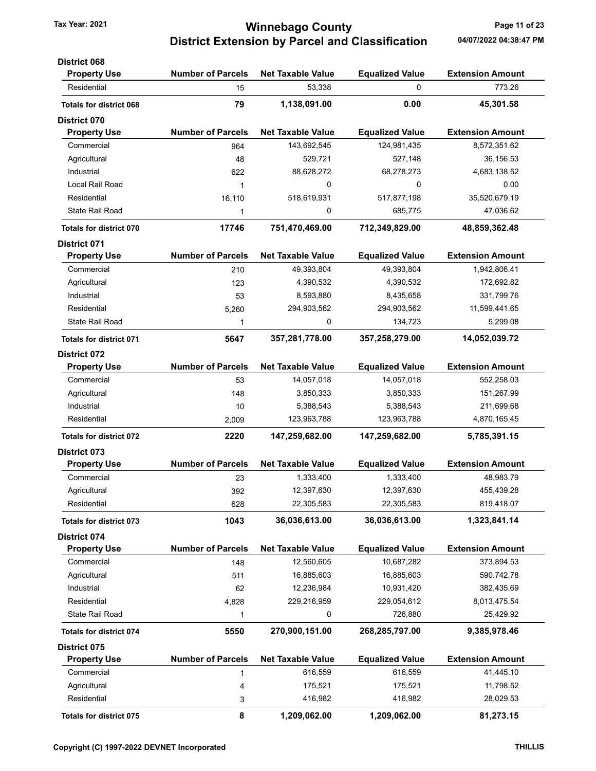# Tax Year: 2021 **120 COUNTY** Tax Year: 2021 **Page 11 of 23** District Extension by Parcel and Classification 04/07/2022 04:38:47 PM

| <b>District 068</b>            |                          |                          |                        |                         |
|--------------------------------|--------------------------|--------------------------|------------------------|-------------------------|
| <b>Property Use</b>            | <b>Number of Parcels</b> | <b>Net Taxable Value</b> | <b>Equalized Value</b> | <b>Extension Amount</b> |
| Residential                    | 15                       | 53,338                   | 0                      | 773.26                  |
| <b>Totals for district 068</b> | 79                       | 1,138,091.00             | 0.00                   | 45,301.58               |
| <b>District 070</b>            |                          |                          |                        |                         |
| <b>Property Use</b>            | <b>Number of Parcels</b> | <b>Net Taxable Value</b> | <b>Equalized Value</b> | <b>Extension Amount</b> |
| Commercial                     | 964                      | 143,692,545              | 124,981,435            | 8,572,351.62            |
| Agricultural                   | 48                       | 529,721                  | 527,148                | 36,156.53               |
| Industrial                     | 622                      | 88,628,272               | 68,278,273             | 4,683,138.52            |
| Local Rail Road                | 1                        | 0                        | 0                      | 0.00                    |
| Residential                    | 16,110                   | 518,619,931              | 517,877,198            | 35,520,679.19           |
| <b>State Rail Road</b>         | 1                        | 0                        | 685,775                | 47,036.62               |
| <b>Totals for district 070</b> | 17746                    | 751,470,469.00           | 712,349,829.00         | 48,859,362.48           |
| <b>District 071</b>            |                          |                          |                        |                         |
| <b>Property Use</b>            | <b>Number of Parcels</b> | <b>Net Taxable Value</b> | <b>Equalized Value</b> | <b>Extension Amount</b> |
| Commercial                     | 210                      | 49,393,804               | 49,393,804             | 1,942,806.41            |
| Agricultural                   | 123                      | 4,390,532                | 4,390,532              | 172,692.82              |
| Industrial                     | 53                       | 8,593,880                | 8,435,658              | 331,799.76              |
| Residential                    | 5,260                    | 294,903,562              | 294,903,562            | 11,599,441.65           |
| <b>State Rail Road</b>         | 1                        | 0                        | 134,723                | 5,299.08                |
| <b>Totals for district 071</b> | 5647                     | 357,281,778.00           | 357,258,279.00         | 14,052,039.72           |
| <b>District 072</b>            |                          |                          |                        |                         |
| <b>Property Use</b>            | <b>Number of Parcels</b> | <b>Net Taxable Value</b> | <b>Equalized Value</b> | <b>Extension Amount</b> |
| Commercial                     | 53                       | 14,057,018               | 14,057,018             | 552,258.03              |
| Agricultural                   | 148                      | 3,850,333                | 3,850,333              | 151,267.99              |
| Industrial                     | 10                       | 5,388,543                | 5,388,543              | 211,699.68              |
| Residential                    | 2,009                    | 123,963,788              | 123,963,788            | 4,870,165.45            |
| <b>Totals for district 072</b> | 2220                     | 147,259,682.00           | 147,259,682.00         | 5,785,391.15            |
| <b>District 073</b>            |                          |                          |                        |                         |
| <b>Property Use</b>            | <b>Number of Parcels</b> | <b>Net Taxable Value</b> | <b>Equalized Value</b> | <b>Extension Amount</b> |
| Commercial                     | 23                       | 1,333,400                | 1,333,400              | 48,983.79               |
| Agricultural                   | 392                      | 12,397,630               | 12,397,630             | 455.439.28              |
| Residential                    | 628                      | 22,305,583               | 22,305,583             | 819,418.07              |
| <b>Totals for district 073</b> | 1043                     | 36,036,613.00            | 36,036,613.00          | 1,323,841.14            |
| <b>District 074</b>            |                          |                          |                        |                         |
| <b>Property Use</b>            | <b>Number of Parcels</b> | <b>Net Taxable Value</b> | <b>Equalized Value</b> | <b>Extension Amount</b> |
| Commercial                     | 148                      | 12,560,605               | 10,687,282             | 373,894.53              |
| Agricultural                   | 511                      | 16,885,603               | 16,885,603             | 590,742.78              |
| Industrial                     | 62                       | 12,236,984               | 10,931,420             | 382,435.69              |
| Residential                    | 4,828                    | 229,216,959              | 229,054,612            | 8,013,475.54            |
| <b>State Rail Road</b>         | 1                        | 0                        | 726,880                | 25,429.92               |
| <b>Totals for district 074</b> | 5550                     | 270,900,151.00           | 268,285,797.00         | 9,385,978.46            |
| <b>District 075</b>            |                          |                          |                        |                         |
| <b>Property Use</b>            | <b>Number of Parcels</b> | <b>Net Taxable Value</b> | <b>Equalized Value</b> | <b>Extension Amount</b> |
| Commercial                     | 1                        | 616,559                  | 616,559                | 41,445.10               |
| Agricultural                   | 4                        | 175,521                  | 175,521                | 11,798.52               |
| Residential                    | 3                        | 416,982                  | 416,982                | 28,029.53               |
| Totals for district 075        | 8                        | 1,209,062.00             | 1,209,062.00           | 81,273.15               |
|                                |                          |                          |                        |                         |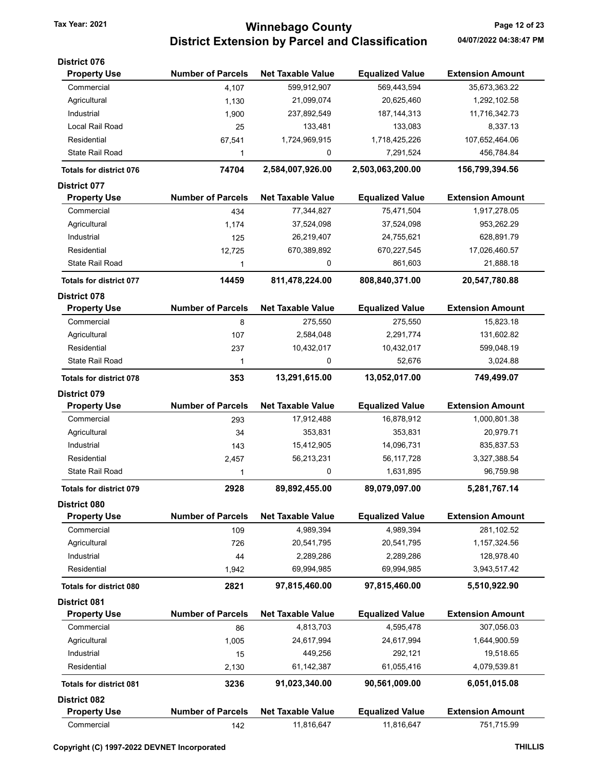## Tax Year: 2021 **120 COUNTY** Tax Year: 2021 **Page 12 of 23** District Extension by Parcel and Classification 04/07/2022 04:38:47 PM

| <b>District 076</b>            |                          |                          |                        |                         |
|--------------------------------|--------------------------|--------------------------|------------------------|-------------------------|
| <b>Property Use</b>            | <b>Number of Parcels</b> | <b>Net Taxable Value</b> | <b>Equalized Value</b> | <b>Extension Amount</b> |
| Commercial                     | 4,107                    | 599,912,907              | 569,443,594            | 35,673,363.22           |
| Agricultural                   | 1,130                    | 21,099,074               | 20,625,460             | 1,292,102.58            |
| Industrial                     | 1,900                    | 237,892,549              | 187, 144, 313          | 11,716,342.73           |
| Local Rail Road                | 25                       | 133,481                  | 133,083                | 8,337.13                |
| Residential                    | 67,541                   | 1,724,969,915            | 1,718,425,226          | 107,652,464.06          |
| <b>State Rail Road</b>         | 1                        | 0                        | 7,291,524              | 456,784.84              |
| <b>Totals for district 076</b> | 74704                    | 2,584,007,926.00         | 2,503,063,200.00       | 156,799,394.56          |
| <b>District 077</b>            |                          |                          |                        |                         |
| <b>Property Use</b>            | <b>Number of Parcels</b> | <b>Net Taxable Value</b> | <b>Equalized Value</b> | <b>Extension Amount</b> |
| Commercial                     | 434                      | 77,344,827               | 75,471,504             | 1,917,278.05            |
| Agricultural                   | 1,174                    | 37,524,098               | 37,524,098             | 953,262.29              |
| Industrial                     | 125                      | 26,219,407               | 24,755,621             | 628,891.79              |
| Residential                    | 12,725                   | 670,389,892              | 670,227,545            | 17,026,460.57           |
| State Rail Road                | 1                        | 0                        | 861,603                | 21,888.18               |
| <b>Totals for district 077</b> | 14459                    | 811,478,224.00           | 808,840,371.00         | 20,547,780.88           |
| District 078                   |                          |                          |                        |                         |
| <b>Property Use</b>            | <b>Number of Parcels</b> | <b>Net Taxable Value</b> | <b>Equalized Value</b> | <b>Extension Amount</b> |
| Commercial                     | 8                        | 275,550                  | 275,550                | 15,823.18               |
| Agricultural                   | 107                      | 2,584,048                | 2,291,774              | 131,602.82              |
| Residential                    | 237                      | 10,432,017               | 10,432,017             | 599,048.19              |
| State Rail Road                | 1                        | 0                        | 52,676                 | 3,024.88                |
| <b>Totals for district 078</b> | 353                      | 13,291,615.00            | 13,052,017.00          | 749,499.07              |
| <b>District 079</b>            |                          |                          |                        |                         |
| <b>Property Use</b>            | <b>Number of Parcels</b> | <b>Net Taxable Value</b> | <b>Equalized Value</b> | <b>Extension Amount</b> |
| Commercial                     | 293                      | 17,912,488               | 16,878,912             | 1,000,801.38            |
| Agricultural                   | 34                       | 353,831                  | 353,831                | 20,979.71               |
| Industrial                     | 143                      | 15,412,905               | 14,096,731             | 835,837.53              |
| Residential                    | 2,457                    | 56,213,231               | 56,117,728             | 3,327,388.54            |
| <b>State Rail Road</b>         | 1                        | 0                        | 1,631,895              | 96,759.98               |
| Totals for district 079        | 2928                     | 89,892,455.00            | 89,079,097.00          | 5,281,767.14            |
| <b>District 080</b>            |                          |                          |                        |                         |
| <b>Property Use</b>            | <b>Number of Parcels</b> | <b>Net Taxable Value</b> | <b>Equalized Value</b> | <b>Extension Amount</b> |
| Commercial                     | 109                      | 4,989,394                | 4,989,394              | 281,102.52              |
| Agricultural                   | 726                      | 20,541,795               | 20,541,795             | 1,157,324.56            |
| Industrial                     | 44                       | 2,289,286                | 2,289,286              | 128,978.40              |
| Residential                    | 1,942                    | 69,994,985               | 69,994,985             | 3,943,517.42            |
| <b>Totals for district 080</b> | 2821                     | 97,815,460.00            | 97,815,460.00          | 5,510,922.90            |
| <b>District 081</b>            |                          |                          |                        |                         |
| <b>Property Use</b>            | <b>Number of Parcels</b> | <b>Net Taxable Value</b> | <b>Equalized Value</b> | <b>Extension Amount</b> |
| Commercial                     | 86                       | 4,813,703                | 4,595,478              | 307,056.03              |
| Agricultural                   | 1,005                    | 24,617,994               | 24,617,994             | 1,644,900.59            |
| Industrial                     | 15                       | 449,256                  | 292,121                | 19,518.65               |
| Residential                    | 2,130                    | 61,142,387               | 61,055,416             | 4,079,539.81            |
| <b>Totals for district 081</b> | 3236                     | 91,023,340.00            | 90,561,009.00          | 6,051,015.08            |
| <b>District 082</b>            |                          |                          |                        |                         |
| <b>Property Use</b>            | <b>Number of Parcels</b> | <b>Net Taxable Value</b> | <b>Equalized Value</b> | <b>Extension Amount</b> |
| Commercial                     | 142                      | 11,816,647               | 11,816,647             | 751,715.99              |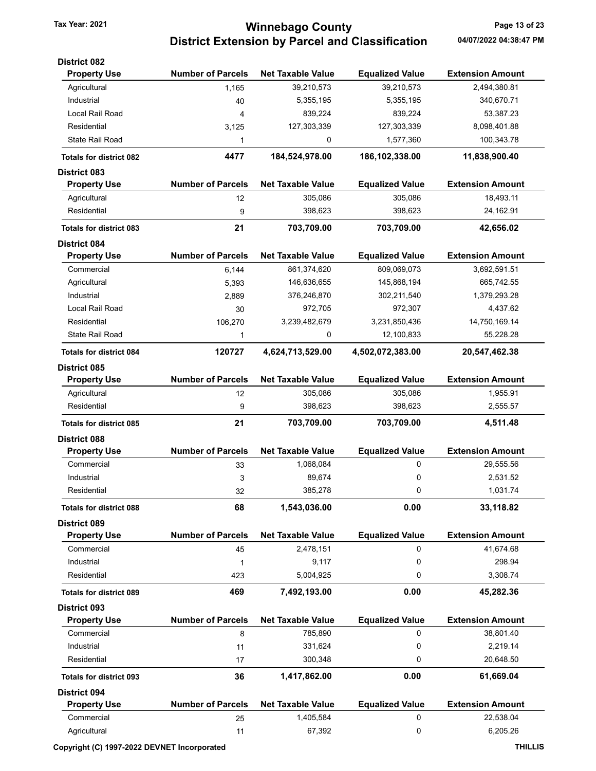# Tax Year: 2021 **120 COUNTY** Tax Year: 2021 **Page 13 of 23** District Extension by Parcel and Classification 04/07/2022 04:38:47 PM

| <b>District 082</b>            |                          |                          |                        |                         |
|--------------------------------|--------------------------|--------------------------|------------------------|-------------------------|
| <b>Property Use</b>            | <b>Number of Parcels</b> | <b>Net Taxable Value</b> | <b>Equalized Value</b> | <b>Extension Amount</b> |
| Agricultural                   | 1,165                    | 39,210,573               | 39,210,573             | 2,494,380.81            |
| Industrial                     | 40                       | 5,355,195                | 5,355,195              | 340,670.71              |
| Local Rail Road                | 4                        | 839,224                  | 839,224                | 53,387.23               |
| Residential                    | 3,125                    | 127,303,339              | 127,303,339            | 8,098,401.88            |
| State Rail Road                | 1                        | 0                        | 1,577,360              | 100,343.78              |
| <b>Totals for district 082</b> | 4477                     | 184,524,978.00           | 186,102,338.00         | 11,838,900.40           |
| <b>District 083</b>            |                          |                          |                        |                         |
| <b>Property Use</b>            | <b>Number of Parcels</b> | <b>Net Taxable Value</b> | <b>Equalized Value</b> | <b>Extension Amount</b> |
| Agricultural                   | 12                       | 305,086                  | 305,086                | 18,493.11               |
| Residential                    | 9                        | 398,623                  | 398,623                | 24,162.91               |
| <b>Totals for district 083</b> | 21                       | 703,709.00               | 703,709.00             | 42,656.02               |
| <b>District 084</b>            |                          |                          |                        |                         |
| <b>Property Use</b>            | <b>Number of Parcels</b> | <b>Net Taxable Value</b> | <b>Equalized Value</b> | <b>Extension Amount</b> |
| Commercial                     | 6,144                    | 861,374,620              | 809,069,073            | 3,692,591.51            |
| Agricultural                   | 5,393                    | 146,636,655              | 145,868,194            | 665,742.55              |
| Industrial                     | 2,889                    | 376,246,870              | 302,211,540            | 1,379,293.28            |
| Local Rail Road                | 30                       | 972,705                  | 972,307                | 4,437.62                |
| Residential                    | 106,270                  | 3,239,482,679            | 3,231,850,436          | 14,750,169.14           |
| State Rail Road                | 1                        | 0                        | 12,100,833             | 55,228.28               |
| <b>Totals for district 084</b> | 120727                   | 4,624,713,529.00         | 4,502,072,383.00       | 20,547,462.38           |
| District 085                   |                          |                          |                        |                         |
| <b>Property Use</b>            | <b>Number of Parcels</b> | <b>Net Taxable Value</b> | <b>Equalized Value</b> | <b>Extension Amount</b> |
| Agricultural                   | 12                       | 305,086                  | 305,086                | 1,955.91                |
| Residential                    | 9                        | 398,623                  | 398,623                | 2,555.57                |
| <b>Totals for district 085</b> | 21                       | 703,709.00               | 703,709.00             | 4,511.48                |
| <b>District 088</b>            |                          |                          |                        |                         |
| <b>Property Use</b>            | <b>Number of Parcels</b> | <b>Net Taxable Value</b> | <b>Equalized Value</b> | <b>Extension Amount</b> |
| Commercial                     | 33                       | 1,068,084                | 0                      | 29,555.56               |
| Industrial                     | 3                        | 89,674                   | 0                      | 2,531.52                |
| Residential                    | 32                       | 385,278                  | 0                      | 1,031.74                |
|                                | 68                       | 1,543,036.00             | 0.00                   | 33,118.82               |
| <b>Totals for district 088</b> |                          |                          |                        |                         |
| <b>District 089</b>            |                          |                          |                        |                         |
| <b>Property Use</b>            | <b>Number of Parcels</b> | <b>Net Taxable Value</b> | <b>Equalized Value</b> | <b>Extension Amount</b> |
| Commercial                     | 45                       | 2,478,151                | 0                      | 41,674.68               |
| Industrial                     | 1                        | 9,117                    | 0                      | 298.94                  |
| Residential                    | 423                      | 5,004,925                | 0                      | 3,308.74                |
| <b>Totals for district 089</b> | 469                      | 7,492,193.00             | 0.00                   | 45,282.36               |
| <b>District 093</b>            |                          |                          |                        |                         |
| <b>Property Use</b>            | <b>Number of Parcels</b> | <b>Net Taxable Value</b> | <b>Equalized Value</b> | <b>Extension Amount</b> |
| Commercial                     | 8                        | 785,890                  | 0                      | 38,801.40               |
| Industrial                     | 11                       | 331,624                  | 0                      | 2,219.14                |
| Residential                    | 17                       | 300,348                  | 0                      | 20,648.50               |
| <b>Totals for district 093</b> | 36                       | 1,417,862.00             | 0.00                   | 61,669.04               |
| <b>District 094</b>            |                          |                          |                        |                         |
| <b>Property Use</b>            | <b>Number of Parcels</b> | <b>Net Taxable Value</b> | <b>Equalized Value</b> | <b>Extension Amount</b> |
| Commercial                     | 25                       | 1,405,584                | 0                      | 22,538.04               |
| Agricultural                   | 11                       | 67,392                   | 0                      | 6,205.26                |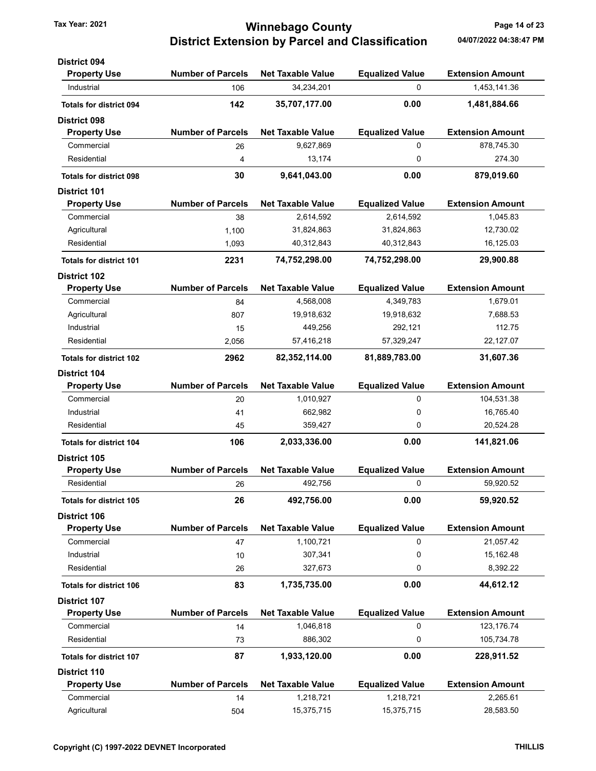## Tax Year: 2021 **Tax Year: 2021 Tax Year: 2021 Page 14 of 23** District Extension by Parcel and Classification 04/07/2022 04:38:47 PM

| <b>District 094</b>            |                          |                          |                        |                         |
|--------------------------------|--------------------------|--------------------------|------------------------|-------------------------|
| <b>Property Use</b>            | <b>Number of Parcels</b> | <b>Net Taxable Value</b> | <b>Equalized Value</b> | <b>Extension Amount</b> |
| Industrial                     | 106                      | 34,234,201               | 0                      | 1,453,141.36            |
| <b>Totals for district 094</b> | 142                      | 35,707,177.00            | 0.00                   | 1,481,884.66            |
| <b>District 098</b>            |                          |                          |                        |                         |
| <b>Property Use</b>            | <b>Number of Parcels</b> | <b>Net Taxable Value</b> | <b>Equalized Value</b> | <b>Extension Amount</b> |
| Commercial                     | 26                       | 9,627,869                | 0                      | 878,745.30              |
| Residential                    | 4                        | 13,174                   | 0                      | 274.30                  |
| <b>Totals for district 098</b> | 30                       | 9,641,043.00             | 0.00                   | 879,019.60              |
| <b>District 101</b>            |                          |                          |                        |                         |
| <b>Property Use</b>            | <b>Number of Parcels</b> | <b>Net Taxable Value</b> | <b>Equalized Value</b> | <b>Extension Amount</b> |
| Commercial                     | 38                       | 2,614,592                | 2,614,592              | 1,045.83                |
| Agricultural                   | 1,100                    | 31,824,863               | 31,824,863             | 12,730.02               |
| Residential                    | 1,093                    | 40,312,843               | 40,312,843             | 16,125.03               |
| <b>Totals for district 101</b> | 2231                     | 74,752,298.00            | 74,752,298.00          | 29,900.88               |
| <b>District 102</b>            |                          |                          |                        |                         |
| <b>Property Use</b>            | <b>Number of Parcels</b> | <b>Net Taxable Value</b> | <b>Equalized Value</b> | <b>Extension Amount</b> |
| Commercial                     | 84                       | 4,568,008                | 4,349,783              | 1,679.01                |
| Agricultural                   | 807                      | 19,918,632               | 19,918,632             | 7,688.53                |
| Industrial                     | 15                       | 449,256                  | 292,121                | 112.75                  |
| Residential                    | 2,056                    | 57,416,218               | 57,329,247             | 22,127.07               |
| <b>Totals for district 102</b> | 2962                     | 82,352,114.00            | 81,889,783.00          | 31,607.36               |
| <b>District 104</b>            |                          |                          |                        |                         |
| <b>Property Use</b>            | <b>Number of Parcels</b> | <b>Net Taxable Value</b> | <b>Equalized Value</b> | <b>Extension Amount</b> |
| Commercial                     | 20                       | 1,010,927                | 0                      | 104,531.38              |
| Industrial                     | 41                       | 662,982                  | 0                      | 16,765.40               |
| Residential                    | 45                       | 359,427                  | 0                      | 20,524.28               |
| <b>Totals for district 104</b> | 106                      | 2,033,336.00             | 0.00                   | 141,821.06              |
| <b>District 105</b>            |                          |                          |                        |                         |
| <b>Property Use</b>            | <b>Number of Parcels</b> | <b>Net Taxable Value</b> | <b>Equalized Value</b> | <b>Extension Amount</b> |
| Residential                    | 26                       | 492,756                  | 0                      | 59,920.52               |
| <b>Totals for district 105</b> | 26                       | 492,756.00               | 0.00                   | 59,920.52               |
| District 106                   |                          |                          |                        |                         |
| <b>Property Use</b>            | <b>Number of Parcels</b> | <b>Net Taxable Value</b> | <b>Equalized Value</b> | <b>Extension Amount</b> |
| Commercial                     | 47                       | 1,100,721                | 0                      | 21,057.42               |
| Industrial                     | 10                       | 307,341                  | 0                      | 15,162.48               |
| Residential                    | 26                       | 327,673                  | 0                      | 8,392.22                |
| <b>Totals for district 106</b> | 83                       | 1,735,735.00             | 0.00                   | 44,612.12               |
| <b>District 107</b>            |                          |                          |                        |                         |
| <b>Property Use</b>            | <b>Number of Parcels</b> | <b>Net Taxable Value</b> | <b>Equalized Value</b> | <b>Extension Amount</b> |
| Commercial                     | 14                       | 1,046,818                | 0                      | 123, 176.74             |
| Residential                    | 73                       | 886,302                  | 0                      | 105,734.78              |
| <b>Totals for district 107</b> | 87                       | 1,933,120.00             | 0.00                   | 228,911.52              |
| <b>District 110</b>            |                          |                          |                        |                         |
| <b>Property Use</b>            | <b>Number of Parcels</b> | <b>Net Taxable Value</b> | <b>Equalized Value</b> | <b>Extension Amount</b> |
| Commercial                     | 14                       | 1,218,721                | 1,218,721              | 2,265.61                |
| Agricultural                   | 504                      | 15,375,715               | 15,375,715             | 28,583.50               |
|                                |                          |                          |                        |                         |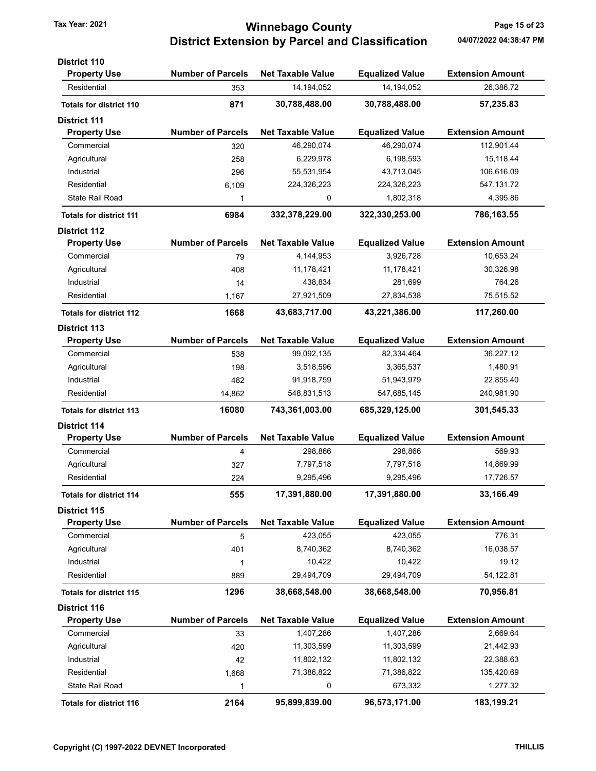# Tax Year: 2021 **120 COUNTY** Tax Year: 2021 **Page 15 of 23** District Extension by Parcel and Classification 04/07/2022 04:38:47 PM

| <b>Number of Parcels</b><br><b>Extension Amount</b><br><b>Property Use</b><br><b>Net Taxable Value</b><br><b>Equalized Value</b><br>14,194,052<br>26,386.72<br>Residential<br>14,194,052<br>353<br>871<br>30,788,488.00<br>30,788,488.00<br>57,235.83<br><b>Totals for district 110</b><br><b>Number of Parcels</b><br><b>Net Taxable Value</b><br><b>Equalized Value</b><br><b>Extension Amount</b><br><b>Property Use</b><br>46,290,074<br>112,901.44<br>Commercial<br>46,290,074<br>320<br>15,118.44<br>Agricultural<br>6,229,978<br>6,198,593<br>258<br>Industrial<br>55,531,954<br>43,713,045<br>106,616.09<br>296<br>Residential<br>224,326,223<br>224,326,223<br>547, 131.72<br>6,109<br><b>State Rail Road</b><br>0<br>1,802,318<br>4,395.86<br>1<br>6984<br>322,330,253.00<br>332,378,229.00<br>786,163.55<br><b>Totals for district 111</b><br><b>Number of Parcels</b><br><b>Net Taxable Value</b><br><b>Equalized Value</b><br><b>Extension Amount</b><br><b>Property Use</b><br>10,653.24<br>Commercial<br>4,144,953<br>3,926,728<br>79<br>Agricultural<br>11,178,421<br>11,178,421<br>30,326.98<br>408<br>764.26<br>Industrial<br>438,834<br>281,699<br>14<br>75,515.52<br>Residential<br>27,921,509<br>27,834,538<br>1,167<br>1668<br>43,683,717.00<br>43,221,386.00<br>117,260.00<br><b>Totals for district 112</b><br><b>Number of Parcels</b><br><b>Net Taxable Value</b><br><b>Equalized Value</b><br><b>Extension Amount</b><br><b>Property Use</b><br>Commercial<br>99,092,135<br>82,334,464<br>36,227.12<br>538<br>3,365,537<br>1,480.91<br>Agricultural<br>3,518,596<br>198<br>22,855.40<br>Industrial<br>91,918,759<br>51,943,979<br>482<br>Residential<br>548,831,513<br>547,685,145<br>240,981.90<br>14,862<br>16080<br>743,361,003.00<br>685,329,125.00<br>301,545.33<br><b>Totals for district 113</b><br><b>Number of Parcels</b><br><b>Extension Amount</b><br><b>Property Use</b><br><b>Net Taxable Value</b><br><b>Equalized Value</b><br>569.93<br>Commercial<br>298,866<br>298,866<br>4<br>Agricultural<br>7,797,518<br>7,797,518<br>14,869.99<br>327<br>Residential<br>224<br>9,295,496<br>9,295,496<br>17,726.57<br>555<br>17,391,880.00<br>17,391,880.00<br>33,166.49<br><b>Totals for district 114</b><br><b>Number of Parcels</b><br><b>Net Taxable Value</b><br><b>Equalized Value</b><br><b>Extension Amount</b><br><b>Property Use</b><br>Commercial<br>423,055<br>423,055<br>776.31<br>5<br>Agricultural<br>8,740,362<br>8,740,362<br>16,038.57<br>401<br>Industrial<br>10,422<br>10,422<br>19.12<br>1<br>Residential<br>54,122.81<br>29,494,709<br>29,494,709<br>889<br>1296<br>38,668,548.00<br>38,668,548.00<br>70,956.81<br><b>Totals for district 115</b><br><b>Number of Parcels</b><br><b>Net Taxable Value</b><br><b>Equalized Value</b><br><b>Extension Amount</b><br><b>Property Use</b><br>Commercial<br>1,407,286<br>1,407,286<br>2,669.64<br>33<br>Agricultural<br>11,303,599<br>11,303,599<br>21,442.93<br>420<br>Industrial<br>11,802,132<br>11,802,132<br>22,388.63<br>42<br>135,420.69<br>Residential<br>71,386,822<br>71,386,822<br>1,668<br><b>State Rail Road</b><br>0<br>673,332<br>1,277.32<br>1 | <b>District 110</b>            |      |               |               |            |
|-------------------------------------------------------------------------------------------------------------------------------------------------------------------------------------------------------------------------------------------------------------------------------------------------------------------------------------------------------------------------------------------------------------------------------------------------------------------------------------------------------------------------------------------------------------------------------------------------------------------------------------------------------------------------------------------------------------------------------------------------------------------------------------------------------------------------------------------------------------------------------------------------------------------------------------------------------------------------------------------------------------------------------------------------------------------------------------------------------------------------------------------------------------------------------------------------------------------------------------------------------------------------------------------------------------------------------------------------------------------------------------------------------------------------------------------------------------------------------------------------------------------------------------------------------------------------------------------------------------------------------------------------------------------------------------------------------------------------------------------------------------------------------------------------------------------------------------------------------------------------------------------------------------------------------------------------------------------------------------------------------------------------------------------------------------------------------------------------------------------------------------------------------------------------------------------------------------------------------------------------------------------------------------------------------------------------------------------------------------------------------------------------------------------------------------------------------------------------------------------------------------------------------------------------------------------------------------------------------------------------------------------------------------------------------------------------------------------------------------------------------------------------------------------------------------------------------------------------------------------------------------------------------------------------------------------------------------------------------------------------------------------------------------------------------------------------------------------------------------------------------------------------------------------|--------------------------------|------|---------------|---------------|------------|
|                                                                                                                                                                                                                                                                                                                                                                                                                                                                                                                                                                                                                                                                                                                                                                                                                                                                                                                                                                                                                                                                                                                                                                                                                                                                                                                                                                                                                                                                                                                                                                                                                                                                                                                                                                                                                                                                                                                                                                                                                                                                                                                                                                                                                                                                                                                                                                                                                                                                                                                                                                                                                                                                                                                                                                                                                                                                                                                                                                                                                                                                                                                                                                   |                                |      |               |               |            |
|                                                                                                                                                                                                                                                                                                                                                                                                                                                                                                                                                                                                                                                                                                                                                                                                                                                                                                                                                                                                                                                                                                                                                                                                                                                                                                                                                                                                                                                                                                                                                                                                                                                                                                                                                                                                                                                                                                                                                                                                                                                                                                                                                                                                                                                                                                                                                                                                                                                                                                                                                                                                                                                                                                                                                                                                                                                                                                                                                                                                                                                                                                                                                                   |                                |      |               |               |            |
|                                                                                                                                                                                                                                                                                                                                                                                                                                                                                                                                                                                                                                                                                                                                                                                                                                                                                                                                                                                                                                                                                                                                                                                                                                                                                                                                                                                                                                                                                                                                                                                                                                                                                                                                                                                                                                                                                                                                                                                                                                                                                                                                                                                                                                                                                                                                                                                                                                                                                                                                                                                                                                                                                                                                                                                                                                                                                                                                                                                                                                                                                                                                                                   |                                |      |               |               |            |
|                                                                                                                                                                                                                                                                                                                                                                                                                                                                                                                                                                                                                                                                                                                                                                                                                                                                                                                                                                                                                                                                                                                                                                                                                                                                                                                                                                                                                                                                                                                                                                                                                                                                                                                                                                                                                                                                                                                                                                                                                                                                                                                                                                                                                                                                                                                                                                                                                                                                                                                                                                                                                                                                                                                                                                                                                                                                                                                                                                                                                                                                                                                                                                   | <b>District 111</b>            |      |               |               |            |
|                                                                                                                                                                                                                                                                                                                                                                                                                                                                                                                                                                                                                                                                                                                                                                                                                                                                                                                                                                                                                                                                                                                                                                                                                                                                                                                                                                                                                                                                                                                                                                                                                                                                                                                                                                                                                                                                                                                                                                                                                                                                                                                                                                                                                                                                                                                                                                                                                                                                                                                                                                                                                                                                                                                                                                                                                                                                                                                                                                                                                                                                                                                                                                   |                                |      |               |               |            |
|                                                                                                                                                                                                                                                                                                                                                                                                                                                                                                                                                                                                                                                                                                                                                                                                                                                                                                                                                                                                                                                                                                                                                                                                                                                                                                                                                                                                                                                                                                                                                                                                                                                                                                                                                                                                                                                                                                                                                                                                                                                                                                                                                                                                                                                                                                                                                                                                                                                                                                                                                                                                                                                                                                                                                                                                                                                                                                                                                                                                                                                                                                                                                                   |                                |      |               |               |            |
|                                                                                                                                                                                                                                                                                                                                                                                                                                                                                                                                                                                                                                                                                                                                                                                                                                                                                                                                                                                                                                                                                                                                                                                                                                                                                                                                                                                                                                                                                                                                                                                                                                                                                                                                                                                                                                                                                                                                                                                                                                                                                                                                                                                                                                                                                                                                                                                                                                                                                                                                                                                                                                                                                                                                                                                                                                                                                                                                                                                                                                                                                                                                                                   |                                |      |               |               |            |
|                                                                                                                                                                                                                                                                                                                                                                                                                                                                                                                                                                                                                                                                                                                                                                                                                                                                                                                                                                                                                                                                                                                                                                                                                                                                                                                                                                                                                                                                                                                                                                                                                                                                                                                                                                                                                                                                                                                                                                                                                                                                                                                                                                                                                                                                                                                                                                                                                                                                                                                                                                                                                                                                                                                                                                                                                                                                                                                                                                                                                                                                                                                                                                   |                                |      |               |               |            |
|                                                                                                                                                                                                                                                                                                                                                                                                                                                                                                                                                                                                                                                                                                                                                                                                                                                                                                                                                                                                                                                                                                                                                                                                                                                                                                                                                                                                                                                                                                                                                                                                                                                                                                                                                                                                                                                                                                                                                                                                                                                                                                                                                                                                                                                                                                                                                                                                                                                                                                                                                                                                                                                                                                                                                                                                                                                                                                                                                                                                                                                                                                                                                                   |                                |      |               |               |            |
|                                                                                                                                                                                                                                                                                                                                                                                                                                                                                                                                                                                                                                                                                                                                                                                                                                                                                                                                                                                                                                                                                                                                                                                                                                                                                                                                                                                                                                                                                                                                                                                                                                                                                                                                                                                                                                                                                                                                                                                                                                                                                                                                                                                                                                                                                                                                                                                                                                                                                                                                                                                                                                                                                                                                                                                                                                                                                                                                                                                                                                                                                                                                                                   |                                |      |               |               |            |
|                                                                                                                                                                                                                                                                                                                                                                                                                                                                                                                                                                                                                                                                                                                                                                                                                                                                                                                                                                                                                                                                                                                                                                                                                                                                                                                                                                                                                                                                                                                                                                                                                                                                                                                                                                                                                                                                                                                                                                                                                                                                                                                                                                                                                                                                                                                                                                                                                                                                                                                                                                                                                                                                                                                                                                                                                                                                                                                                                                                                                                                                                                                                                                   |                                |      |               |               |            |
|                                                                                                                                                                                                                                                                                                                                                                                                                                                                                                                                                                                                                                                                                                                                                                                                                                                                                                                                                                                                                                                                                                                                                                                                                                                                                                                                                                                                                                                                                                                                                                                                                                                                                                                                                                                                                                                                                                                                                                                                                                                                                                                                                                                                                                                                                                                                                                                                                                                                                                                                                                                                                                                                                                                                                                                                                                                                                                                                                                                                                                                                                                                                                                   | <b>District 112</b>            |      |               |               |            |
|                                                                                                                                                                                                                                                                                                                                                                                                                                                                                                                                                                                                                                                                                                                                                                                                                                                                                                                                                                                                                                                                                                                                                                                                                                                                                                                                                                                                                                                                                                                                                                                                                                                                                                                                                                                                                                                                                                                                                                                                                                                                                                                                                                                                                                                                                                                                                                                                                                                                                                                                                                                                                                                                                                                                                                                                                                                                                                                                                                                                                                                                                                                                                                   |                                |      |               |               |            |
|                                                                                                                                                                                                                                                                                                                                                                                                                                                                                                                                                                                                                                                                                                                                                                                                                                                                                                                                                                                                                                                                                                                                                                                                                                                                                                                                                                                                                                                                                                                                                                                                                                                                                                                                                                                                                                                                                                                                                                                                                                                                                                                                                                                                                                                                                                                                                                                                                                                                                                                                                                                                                                                                                                                                                                                                                                                                                                                                                                                                                                                                                                                                                                   |                                |      |               |               |            |
|                                                                                                                                                                                                                                                                                                                                                                                                                                                                                                                                                                                                                                                                                                                                                                                                                                                                                                                                                                                                                                                                                                                                                                                                                                                                                                                                                                                                                                                                                                                                                                                                                                                                                                                                                                                                                                                                                                                                                                                                                                                                                                                                                                                                                                                                                                                                                                                                                                                                                                                                                                                                                                                                                                                                                                                                                                                                                                                                                                                                                                                                                                                                                                   |                                |      |               |               |            |
|                                                                                                                                                                                                                                                                                                                                                                                                                                                                                                                                                                                                                                                                                                                                                                                                                                                                                                                                                                                                                                                                                                                                                                                                                                                                                                                                                                                                                                                                                                                                                                                                                                                                                                                                                                                                                                                                                                                                                                                                                                                                                                                                                                                                                                                                                                                                                                                                                                                                                                                                                                                                                                                                                                                                                                                                                                                                                                                                                                                                                                                                                                                                                                   |                                |      |               |               |            |
|                                                                                                                                                                                                                                                                                                                                                                                                                                                                                                                                                                                                                                                                                                                                                                                                                                                                                                                                                                                                                                                                                                                                                                                                                                                                                                                                                                                                                                                                                                                                                                                                                                                                                                                                                                                                                                                                                                                                                                                                                                                                                                                                                                                                                                                                                                                                                                                                                                                                                                                                                                                                                                                                                                                                                                                                                                                                                                                                                                                                                                                                                                                                                                   |                                |      |               |               |            |
|                                                                                                                                                                                                                                                                                                                                                                                                                                                                                                                                                                                                                                                                                                                                                                                                                                                                                                                                                                                                                                                                                                                                                                                                                                                                                                                                                                                                                                                                                                                                                                                                                                                                                                                                                                                                                                                                                                                                                                                                                                                                                                                                                                                                                                                                                                                                                                                                                                                                                                                                                                                                                                                                                                                                                                                                                                                                                                                                                                                                                                                                                                                                                                   |                                |      |               |               |            |
|                                                                                                                                                                                                                                                                                                                                                                                                                                                                                                                                                                                                                                                                                                                                                                                                                                                                                                                                                                                                                                                                                                                                                                                                                                                                                                                                                                                                                                                                                                                                                                                                                                                                                                                                                                                                                                                                                                                                                                                                                                                                                                                                                                                                                                                                                                                                                                                                                                                                                                                                                                                                                                                                                                                                                                                                                                                                                                                                                                                                                                                                                                                                                                   | <b>District 113</b>            |      |               |               |            |
|                                                                                                                                                                                                                                                                                                                                                                                                                                                                                                                                                                                                                                                                                                                                                                                                                                                                                                                                                                                                                                                                                                                                                                                                                                                                                                                                                                                                                                                                                                                                                                                                                                                                                                                                                                                                                                                                                                                                                                                                                                                                                                                                                                                                                                                                                                                                                                                                                                                                                                                                                                                                                                                                                                                                                                                                                                                                                                                                                                                                                                                                                                                                                                   |                                |      |               |               |            |
|                                                                                                                                                                                                                                                                                                                                                                                                                                                                                                                                                                                                                                                                                                                                                                                                                                                                                                                                                                                                                                                                                                                                                                                                                                                                                                                                                                                                                                                                                                                                                                                                                                                                                                                                                                                                                                                                                                                                                                                                                                                                                                                                                                                                                                                                                                                                                                                                                                                                                                                                                                                                                                                                                                                                                                                                                                                                                                                                                                                                                                                                                                                                                                   |                                |      |               |               |            |
|                                                                                                                                                                                                                                                                                                                                                                                                                                                                                                                                                                                                                                                                                                                                                                                                                                                                                                                                                                                                                                                                                                                                                                                                                                                                                                                                                                                                                                                                                                                                                                                                                                                                                                                                                                                                                                                                                                                                                                                                                                                                                                                                                                                                                                                                                                                                                                                                                                                                                                                                                                                                                                                                                                                                                                                                                                                                                                                                                                                                                                                                                                                                                                   |                                |      |               |               |            |
|                                                                                                                                                                                                                                                                                                                                                                                                                                                                                                                                                                                                                                                                                                                                                                                                                                                                                                                                                                                                                                                                                                                                                                                                                                                                                                                                                                                                                                                                                                                                                                                                                                                                                                                                                                                                                                                                                                                                                                                                                                                                                                                                                                                                                                                                                                                                                                                                                                                                                                                                                                                                                                                                                                                                                                                                                                                                                                                                                                                                                                                                                                                                                                   |                                |      |               |               |            |
|                                                                                                                                                                                                                                                                                                                                                                                                                                                                                                                                                                                                                                                                                                                                                                                                                                                                                                                                                                                                                                                                                                                                                                                                                                                                                                                                                                                                                                                                                                                                                                                                                                                                                                                                                                                                                                                                                                                                                                                                                                                                                                                                                                                                                                                                                                                                                                                                                                                                                                                                                                                                                                                                                                                                                                                                                                                                                                                                                                                                                                                                                                                                                                   |                                |      |               |               |            |
|                                                                                                                                                                                                                                                                                                                                                                                                                                                                                                                                                                                                                                                                                                                                                                                                                                                                                                                                                                                                                                                                                                                                                                                                                                                                                                                                                                                                                                                                                                                                                                                                                                                                                                                                                                                                                                                                                                                                                                                                                                                                                                                                                                                                                                                                                                                                                                                                                                                                                                                                                                                                                                                                                                                                                                                                                                                                                                                                                                                                                                                                                                                                                                   |                                |      |               |               |            |
|                                                                                                                                                                                                                                                                                                                                                                                                                                                                                                                                                                                                                                                                                                                                                                                                                                                                                                                                                                                                                                                                                                                                                                                                                                                                                                                                                                                                                                                                                                                                                                                                                                                                                                                                                                                                                                                                                                                                                                                                                                                                                                                                                                                                                                                                                                                                                                                                                                                                                                                                                                                                                                                                                                                                                                                                                                                                                                                                                                                                                                                                                                                                                                   | <b>District 114</b>            |      |               |               |            |
|                                                                                                                                                                                                                                                                                                                                                                                                                                                                                                                                                                                                                                                                                                                                                                                                                                                                                                                                                                                                                                                                                                                                                                                                                                                                                                                                                                                                                                                                                                                                                                                                                                                                                                                                                                                                                                                                                                                                                                                                                                                                                                                                                                                                                                                                                                                                                                                                                                                                                                                                                                                                                                                                                                                                                                                                                                                                                                                                                                                                                                                                                                                                                                   |                                |      |               |               |            |
|                                                                                                                                                                                                                                                                                                                                                                                                                                                                                                                                                                                                                                                                                                                                                                                                                                                                                                                                                                                                                                                                                                                                                                                                                                                                                                                                                                                                                                                                                                                                                                                                                                                                                                                                                                                                                                                                                                                                                                                                                                                                                                                                                                                                                                                                                                                                                                                                                                                                                                                                                                                                                                                                                                                                                                                                                                                                                                                                                                                                                                                                                                                                                                   |                                |      |               |               |            |
|                                                                                                                                                                                                                                                                                                                                                                                                                                                                                                                                                                                                                                                                                                                                                                                                                                                                                                                                                                                                                                                                                                                                                                                                                                                                                                                                                                                                                                                                                                                                                                                                                                                                                                                                                                                                                                                                                                                                                                                                                                                                                                                                                                                                                                                                                                                                                                                                                                                                                                                                                                                                                                                                                                                                                                                                                                                                                                                                                                                                                                                                                                                                                                   |                                |      |               |               |            |
|                                                                                                                                                                                                                                                                                                                                                                                                                                                                                                                                                                                                                                                                                                                                                                                                                                                                                                                                                                                                                                                                                                                                                                                                                                                                                                                                                                                                                                                                                                                                                                                                                                                                                                                                                                                                                                                                                                                                                                                                                                                                                                                                                                                                                                                                                                                                                                                                                                                                                                                                                                                                                                                                                                                                                                                                                                                                                                                                                                                                                                                                                                                                                                   |                                |      |               |               |            |
|                                                                                                                                                                                                                                                                                                                                                                                                                                                                                                                                                                                                                                                                                                                                                                                                                                                                                                                                                                                                                                                                                                                                                                                                                                                                                                                                                                                                                                                                                                                                                                                                                                                                                                                                                                                                                                                                                                                                                                                                                                                                                                                                                                                                                                                                                                                                                                                                                                                                                                                                                                                                                                                                                                                                                                                                                                                                                                                                                                                                                                                                                                                                                                   |                                |      |               |               |            |
|                                                                                                                                                                                                                                                                                                                                                                                                                                                                                                                                                                                                                                                                                                                                                                                                                                                                                                                                                                                                                                                                                                                                                                                                                                                                                                                                                                                                                                                                                                                                                                                                                                                                                                                                                                                                                                                                                                                                                                                                                                                                                                                                                                                                                                                                                                                                                                                                                                                                                                                                                                                                                                                                                                                                                                                                                                                                                                                                                                                                                                                                                                                                                                   | <b>District 115</b>            |      |               |               |            |
|                                                                                                                                                                                                                                                                                                                                                                                                                                                                                                                                                                                                                                                                                                                                                                                                                                                                                                                                                                                                                                                                                                                                                                                                                                                                                                                                                                                                                                                                                                                                                                                                                                                                                                                                                                                                                                                                                                                                                                                                                                                                                                                                                                                                                                                                                                                                                                                                                                                                                                                                                                                                                                                                                                                                                                                                                                                                                                                                                                                                                                                                                                                                                                   |                                |      |               |               |            |
|                                                                                                                                                                                                                                                                                                                                                                                                                                                                                                                                                                                                                                                                                                                                                                                                                                                                                                                                                                                                                                                                                                                                                                                                                                                                                                                                                                                                                                                                                                                                                                                                                                                                                                                                                                                                                                                                                                                                                                                                                                                                                                                                                                                                                                                                                                                                                                                                                                                                                                                                                                                                                                                                                                                                                                                                                                                                                                                                                                                                                                                                                                                                                                   |                                |      |               |               |            |
|                                                                                                                                                                                                                                                                                                                                                                                                                                                                                                                                                                                                                                                                                                                                                                                                                                                                                                                                                                                                                                                                                                                                                                                                                                                                                                                                                                                                                                                                                                                                                                                                                                                                                                                                                                                                                                                                                                                                                                                                                                                                                                                                                                                                                                                                                                                                                                                                                                                                                                                                                                                                                                                                                                                                                                                                                                                                                                                                                                                                                                                                                                                                                                   |                                |      |               |               |            |
|                                                                                                                                                                                                                                                                                                                                                                                                                                                                                                                                                                                                                                                                                                                                                                                                                                                                                                                                                                                                                                                                                                                                                                                                                                                                                                                                                                                                                                                                                                                                                                                                                                                                                                                                                                                                                                                                                                                                                                                                                                                                                                                                                                                                                                                                                                                                                                                                                                                                                                                                                                                                                                                                                                                                                                                                                                                                                                                                                                                                                                                                                                                                                                   |                                |      |               |               |            |
|                                                                                                                                                                                                                                                                                                                                                                                                                                                                                                                                                                                                                                                                                                                                                                                                                                                                                                                                                                                                                                                                                                                                                                                                                                                                                                                                                                                                                                                                                                                                                                                                                                                                                                                                                                                                                                                                                                                                                                                                                                                                                                                                                                                                                                                                                                                                                                                                                                                                                                                                                                                                                                                                                                                                                                                                                                                                                                                                                                                                                                                                                                                                                                   |                                |      |               |               |            |
|                                                                                                                                                                                                                                                                                                                                                                                                                                                                                                                                                                                                                                                                                                                                                                                                                                                                                                                                                                                                                                                                                                                                                                                                                                                                                                                                                                                                                                                                                                                                                                                                                                                                                                                                                                                                                                                                                                                                                                                                                                                                                                                                                                                                                                                                                                                                                                                                                                                                                                                                                                                                                                                                                                                                                                                                                                                                                                                                                                                                                                                                                                                                                                   |                                |      |               |               |            |
|                                                                                                                                                                                                                                                                                                                                                                                                                                                                                                                                                                                                                                                                                                                                                                                                                                                                                                                                                                                                                                                                                                                                                                                                                                                                                                                                                                                                                                                                                                                                                                                                                                                                                                                                                                                                                                                                                                                                                                                                                                                                                                                                                                                                                                                                                                                                                                                                                                                                                                                                                                                                                                                                                                                                                                                                                                                                                                                                                                                                                                                                                                                                                                   | <b>District 116</b>            |      |               |               |            |
|                                                                                                                                                                                                                                                                                                                                                                                                                                                                                                                                                                                                                                                                                                                                                                                                                                                                                                                                                                                                                                                                                                                                                                                                                                                                                                                                                                                                                                                                                                                                                                                                                                                                                                                                                                                                                                                                                                                                                                                                                                                                                                                                                                                                                                                                                                                                                                                                                                                                                                                                                                                                                                                                                                                                                                                                                                                                                                                                                                                                                                                                                                                                                                   |                                |      |               |               |            |
|                                                                                                                                                                                                                                                                                                                                                                                                                                                                                                                                                                                                                                                                                                                                                                                                                                                                                                                                                                                                                                                                                                                                                                                                                                                                                                                                                                                                                                                                                                                                                                                                                                                                                                                                                                                                                                                                                                                                                                                                                                                                                                                                                                                                                                                                                                                                                                                                                                                                                                                                                                                                                                                                                                                                                                                                                                                                                                                                                                                                                                                                                                                                                                   |                                |      |               |               |            |
|                                                                                                                                                                                                                                                                                                                                                                                                                                                                                                                                                                                                                                                                                                                                                                                                                                                                                                                                                                                                                                                                                                                                                                                                                                                                                                                                                                                                                                                                                                                                                                                                                                                                                                                                                                                                                                                                                                                                                                                                                                                                                                                                                                                                                                                                                                                                                                                                                                                                                                                                                                                                                                                                                                                                                                                                                                                                                                                                                                                                                                                                                                                                                                   |                                |      |               |               |            |
|                                                                                                                                                                                                                                                                                                                                                                                                                                                                                                                                                                                                                                                                                                                                                                                                                                                                                                                                                                                                                                                                                                                                                                                                                                                                                                                                                                                                                                                                                                                                                                                                                                                                                                                                                                                                                                                                                                                                                                                                                                                                                                                                                                                                                                                                                                                                                                                                                                                                                                                                                                                                                                                                                                                                                                                                                                                                                                                                                                                                                                                                                                                                                                   |                                |      |               |               |            |
|                                                                                                                                                                                                                                                                                                                                                                                                                                                                                                                                                                                                                                                                                                                                                                                                                                                                                                                                                                                                                                                                                                                                                                                                                                                                                                                                                                                                                                                                                                                                                                                                                                                                                                                                                                                                                                                                                                                                                                                                                                                                                                                                                                                                                                                                                                                                                                                                                                                                                                                                                                                                                                                                                                                                                                                                                                                                                                                                                                                                                                                                                                                                                                   |                                |      |               |               |            |
|                                                                                                                                                                                                                                                                                                                                                                                                                                                                                                                                                                                                                                                                                                                                                                                                                                                                                                                                                                                                                                                                                                                                                                                                                                                                                                                                                                                                                                                                                                                                                                                                                                                                                                                                                                                                                                                                                                                                                                                                                                                                                                                                                                                                                                                                                                                                                                                                                                                                                                                                                                                                                                                                                                                                                                                                                                                                                                                                                                                                                                                                                                                                                                   |                                |      |               |               |            |
|                                                                                                                                                                                                                                                                                                                                                                                                                                                                                                                                                                                                                                                                                                                                                                                                                                                                                                                                                                                                                                                                                                                                                                                                                                                                                                                                                                                                                                                                                                                                                                                                                                                                                                                                                                                                                                                                                                                                                                                                                                                                                                                                                                                                                                                                                                                                                                                                                                                                                                                                                                                                                                                                                                                                                                                                                                                                                                                                                                                                                                                                                                                                                                   | <b>Totals for district 116</b> | 2164 | 95,899,839.00 | 96,573,171.00 | 183,199.21 |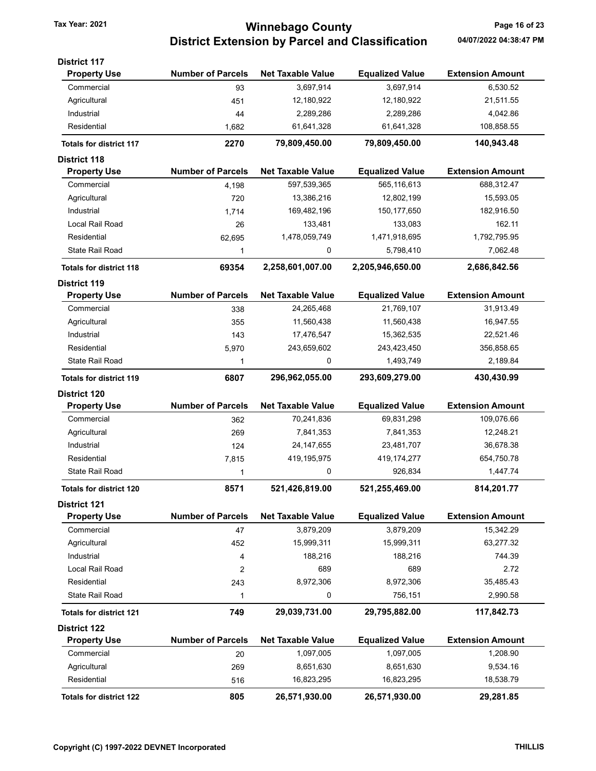# Tax Year: 2021 **120 COUNTY** Tax Year: 2021 **Page 16 of 23** District Extension by Parcel and Classification 04/07/2022 04:38:47 PM

| <b>District 117</b>            |                          |                          |                        |                         |
|--------------------------------|--------------------------|--------------------------|------------------------|-------------------------|
| <b>Property Use</b>            | <b>Number of Parcels</b> | <b>Net Taxable Value</b> | <b>Equalized Value</b> | <b>Extension Amount</b> |
| Commercial                     | 93                       | 3,697,914                | 3,697,914              | 6,530.52                |
| Agricultural                   | 451                      | 12,180,922               | 12,180,922             | 21,511.55               |
| Industrial                     | 44                       | 2,289,286                | 2,289,286              | 4,042.86                |
| Residential                    | 1,682                    | 61,641,328               | 61,641,328             | 108,858.55              |
| <b>Totals for district 117</b> | 2270                     | 79,809,450.00            | 79,809,450.00          | 140,943.48              |
| <b>District 118</b>            |                          |                          |                        |                         |
| <b>Property Use</b>            | <b>Number of Parcels</b> | <b>Net Taxable Value</b> | <b>Equalized Value</b> | <b>Extension Amount</b> |
| Commercial                     | 4,198                    | 597,539,365              | 565,116,613            | 688,312.47              |
| Agricultural                   | 720                      | 13,386,216               | 12,802,199             | 15,593.05               |
| Industrial                     | 1,714                    | 169,482,196              | 150, 177, 650          | 182,916.50              |
| Local Rail Road                | 26                       | 133,481                  | 133,083                | 162.11                  |
| Residential                    | 62,695                   | 1,478,059,749            | 1,471,918,695          | 1,792,795.95            |
| <b>State Rail Road</b>         | 1                        | 0                        | 5,798,410              | 7,062.48                |
| <b>Totals for district 118</b> | 69354                    | 2,258,601,007.00         | 2,205,946,650.00       | 2,686,842.56            |
| <b>District 119</b>            |                          |                          |                        |                         |
| <b>Property Use</b>            | <b>Number of Parcels</b> | <b>Net Taxable Value</b> | <b>Equalized Value</b> | <b>Extension Amount</b> |
| Commercial                     | 338                      | 24,265,468               | 21,769,107             | 31,913.49               |
| Agricultural                   | 355                      | 11,560,438               | 11,560,438             | 16,947.55               |
| Industrial                     | 143                      | 17,476,547               | 15,362,535             | 22,521.46               |
| Residential                    | 5,970                    | 243,659,602              | 243,423,450            | 356,858.65              |
| <b>State Rail Road</b>         | 1                        | 0                        | 1,493,749              | 2,189.84                |
| <b>Totals for district 119</b> | 6807                     | 296,962,055.00           | 293,609,279.00         | 430,430.99              |
| <b>District 120</b>            |                          |                          |                        |                         |
| <b>Property Use</b>            | <b>Number of Parcels</b> | <b>Net Taxable Value</b> | <b>Equalized Value</b> | <b>Extension Amount</b> |
| Commercial                     | 362                      | 70,241,836               | 69,831,298             | 109,076.66              |
| Agricultural                   | 269                      | 7,841,353                | 7,841,353              | 12,248.21               |
| Industrial                     | 124                      | 24, 147, 655             | 23,481,707             | 36,678.38               |
| Residential                    | 7,815                    | 419,195,975              | 419, 174, 277          | 654,750.78              |
| State Rail Road                | 1                        | 0                        | 926,834                | 1,447.74                |
| <b>Totals for district 120</b> | 8571                     | 521,426,819.00           | 521,255,469.00         | 814,201.77              |
| <b>District 121</b>            |                          |                          |                        |                         |
| <b>Property Use</b>            | <b>Number of Parcels</b> | <b>Net Taxable Value</b> | <b>Equalized Value</b> | <b>Extension Amount</b> |
| Commercial                     | 47                       | 3,879,209                | 3,879,209              | 15,342.29               |
| Agricultural                   | 452                      | 15,999,311               | 15,999,311             | 63,277.32               |
| Industrial                     | 4                        | 188,216                  | 188,216                | 744.39                  |
| Local Rail Road                | 2                        | 689                      | 689                    | 2.72                    |
| Residential                    | 243                      | 8,972,306                | 8,972,306              | 35,485.43               |
| <b>State Rail Road</b>         | 1                        | 0                        | 756,151                | 2,990.58                |
| <b>Totals for district 121</b> | 749                      | 29,039,731.00            | 29,795,882.00          | 117,842.73              |
| <b>District 122</b>            |                          |                          |                        |                         |
| <b>Property Use</b>            | <b>Number of Parcels</b> | <b>Net Taxable Value</b> | <b>Equalized Value</b> | <b>Extension Amount</b> |
| Commercial                     | 20                       | 1,097,005                | 1,097,005              | 1,208.90                |
| Agricultural                   | 269                      | 8,651,630                | 8,651,630              | 9,534.16                |
| Residential                    | 516                      | 16,823,295               | 16,823,295             | 18,538.79               |
| <b>Totals for district 122</b> | 805                      | 26,571,930.00            | 26,571,930.00          | 29,281.85               |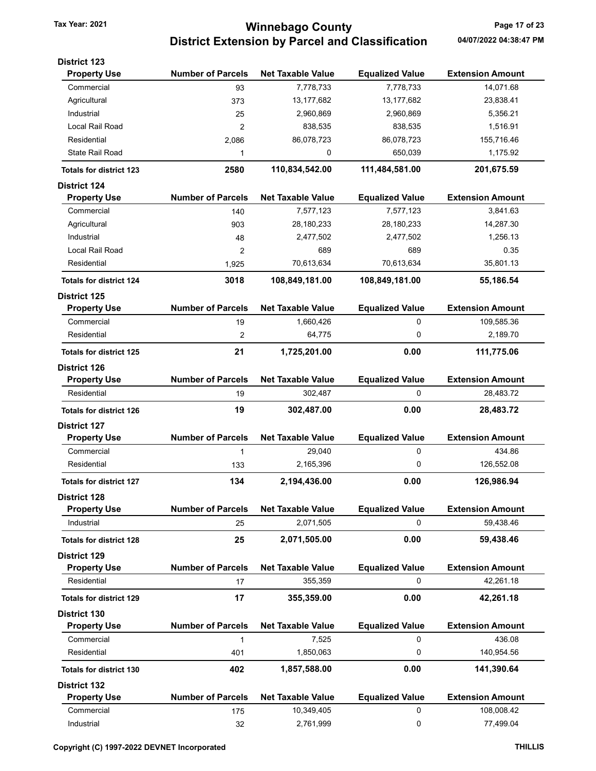# Tax Year: 2021 **120 COUNTY** Tax Year: 2021 **Page 17 of 23** District Extension by Parcel and Classification 04/07/2022 04:38:47 PM

| <b>District 123</b>            |                          |                          |                        |                         |
|--------------------------------|--------------------------|--------------------------|------------------------|-------------------------|
| <b>Property Use</b>            | <b>Number of Parcels</b> | <b>Net Taxable Value</b> | <b>Equalized Value</b> | <b>Extension Amount</b> |
| Commercial                     | 93                       | 7,778,733                | 7,778,733              | 14,071.68               |
| Agricultural                   | 373                      | 13,177,682               | 13,177,682             | 23,838.41               |
| Industrial                     | 25                       | 2,960,869                | 2,960,869              | 5,356.21                |
| Local Rail Road                | $\overline{2}$           | 838,535                  | 838,535                | 1,516.91                |
| Residential                    | 2,086                    | 86,078,723               | 86,078,723             | 155,716.46              |
| <b>State Rail Road</b>         | 1                        | 0                        | 650,039                | 1,175.92                |
| <b>Totals for district 123</b> | 2580                     | 110,834,542.00           | 111,484,581.00         | 201,675.59              |
| <b>District 124</b>            |                          |                          |                        |                         |
| <b>Property Use</b>            | <b>Number of Parcels</b> | <b>Net Taxable Value</b> | <b>Equalized Value</b> | <b>Extension Amount</b> |
| Commercial                     | 140                      | 7,577,123                | 7,577,123              | 3,841.63                |
| Agricultural                   | 903                      | 28,180,233               | 28,180,233             | 14,287.30               |
| Industrial                     | 48                       | 2,477,502                | 2,477,502              | 1,256.13                |
| Local Rail Road                | 2                        | 689                      | 689                    | 0.35                    |
| Residential                    | 1,925                    | 70,613,634               | 70,613,634             | 35,801.13               |
| <b>Totals for district 124</b> | 3018                     | 108,849,181.00           | 108,849,181.00         | 55,186.54               |
| <b>District 125</b>            |                          |                          |                        |                         |
| <b>Property Use</b>            | <b>Number of Parcels</b> | <b>Net Taxable Value</b> | <b>Equalized Value</b> | <b>Extension Amount</b> |
| Commercial                     | 19                       | 1,660,426                | 0                      | 109,585.36              |
| Residential                    | 2                        | 64,775                   | 0                      | 2,189.70                |
| <b>Totals for district 125</b> | 21                       | 1,725,201.00             | 0.00                   | 111,775.06              |
| <b>District 126</b>            |                          |                          |                        |                         |
| <b>Property Use</b>            | <b>Number of Parcels</b> | <b>Net Taxable Value</b> | <b>Equalized Value</b> | <b>Extension Amount</b> |
| Residential                    | 19                       | 302,487                  | 0                      | 28,483.72               |
| <b>Totals for district 126</b> | 19                       | 302,487.00               | 0.00                   | 28,483.72               |
| <b>District 127</b>            |                          |                          |                        |                         |
| <b>Property Use</b>            | <b>Number of Parcels</b> | <b>Net Taxable Value</b> | <b>Equalized Value</b> | <b>Extension Amount</b> |
| Commercial                     | 1                        | 29,040                   | 0                      | 434.86                  |
| Residential                    | 133                      | 2,165,396                | 0                      | 126,552.08              |
|                                |                          |                          |                        |                         |
| <b>Totals for district 127</b> | 134                      | 2,194,436.00             | 0.00                   | 126,986.94              |
| <b>District 128</b>            |                          |                          |                        |                         |
| <b>Property Use</b>            | <b>Number of Parcels</b> | <b>Net Taxable Value</b> | <b>Equalized Value</b> | <b>Extension Amount</b> |
| Industrial                     | 25                       | 2,071,505                | 0                      | 59,438.46               |
| <b>Totals for district 128</b> | 25                       | 2,071,505.00             | 0.00                   | 59,438.46               |
| <b>District 129</b>            |                          |                          |                        |                         |
| <b>Property Use</b>            | <b>Number of Parcels</b> | <b>Net Taxable Value</b> | <b>Equalized Value</b> | <b>Extension Amount</b> |
| Residential                    | 17                       | 355,359                  | 0                      | 42,261.18               |
| <b>Totals for district 129</b> | 17                       | 355,359.00               | 0.00                   | 42,261.18               |
| <b>District 130</b>            |                          |                          |                        |                         |
| <b>Property Use</b>            | <b>Number of Parcels</b> | <b>Net Taxable Value</b> | <b>Equalized Value</b> | <b>Extension Amount</b> |
| Commercial                     | $\mathbf{1}$             | 7,525                    | 0                      | 436.08                  |
| Residential                    | 401                      | 1,850,063                | 0                      | 140,954.56              |
| <b>Totals for district 130</b> | 402                      | 1,857,588.00             | 0.00                   | 141,390.64              |
| <b>District 132</b>            |                          |                          |                        |                         |
| <b>Property Use</b>            | <b>Number of Parcels</b> | <b>Net Taxable Value</b> | <b>Equalized Value</b> | <b>Extension Amount</b> |
| Commercial                     | 175                      | 10,349,405               | 0                      | 108,008.42              |
| Industrial                     | 32                       | 2,761,999                | 0                      | 77,499.04               |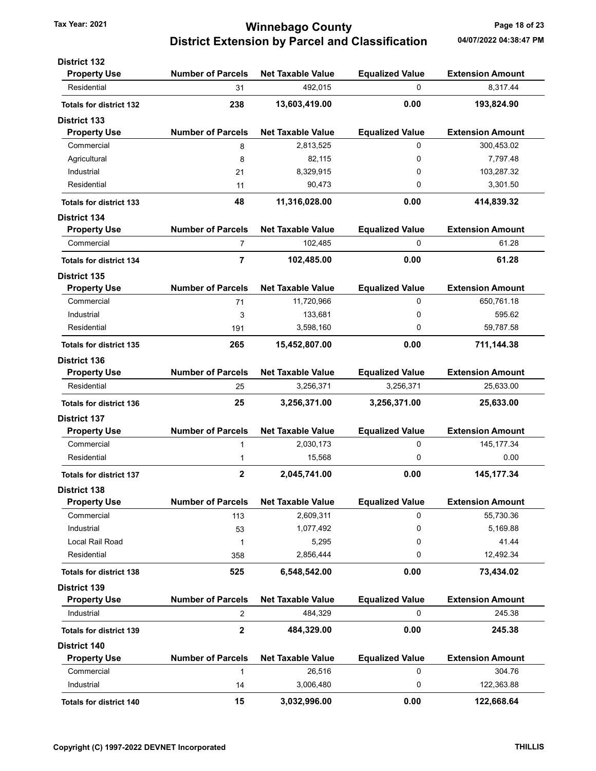## Tax Year: 2021 **1200 COUNTY** Tax Year: 2021 **Page 18 of 23** District Extension by Parcel and Classification 04/07/2022 04:38:47 PM

| <b>Number of Parcels</b><br><b>Net Taxable Value</b><br><b>Equalized Value</b><br><b>Extension Amount</b><br><b>Property Use</b><br>492,015<br>0<br>8.317.44<br>Residential<br>31<br>238<br>0.00<br>13,603,419.00<br>193,824.90<br><b>Totals for district 132</b><br><b>District 133</b><br><b>Number of Parcels</b><br><b>Net Taxable Value</b><br><b>Equalized Value</b><br><b>Extension Amount</b><br><b>Property Use</b><br>Commercial<br>0<br>300,453.02<br>2,813,525<br>8<br>7,797.48<br>Agricultural<br>82,115<br>0<br>8<br>Industrial<br>8,329,915<br>0<br>103,287.32<br>21<br>Residential<br>90,473<br>0<br>3,301.50<br>11<br>0.00<br>414,839.32<br>48<br>11,316,028.00<br><b>Totals for district 133</b><br><b>District 134</b><br><b>Number of Parcels</b><br><b>Net Taxable Value</b><br><b>Equalized Value</b><br><b>Extension Amount</b><br><b>Property Use</b><br>102,485<br>0<br>Commercial<br>7<br>$\overline{7}$<br>102,485.00<br>0.00<br>61.28<br><b>Totals for district 134</b><br><b>District 135</b><br><b>Number of Parcels</b><br><b>Net Taxable Value</b><br><b>Equalized Value</b><br><b>Extension Amount</b><br><b>Property Use</b><br>11,720,966<br>0<br>650,761.18<br>Commercial<br>71<br>0<br>595.62<br>133,681<br>Industrial<br>3<br>59,787.58<br>Residential<br>3,598,160<br>0<br>191<br>0.00<br>265<br>15,452,807.00<br>711,144.38<br><b>Totals for district 135</b><br><b>District 136</b><br><b>Number of Parcels</b><br><b>Net Taxable Value</b><br><b>Equalized Value</b><br><b>Extension Amount</b><br><b>Property Use</b><br>Residential<br>3,256,371<br>3,256,371<br>25,633.00<br>25 | 61.28  |
|------------------------------------------------------------------------------------------------------------------------------------------------------------------------------------------------------------------------------------------------------------------------------------------------------------------------------------------------------------------------------------------------------------------------------------------------------------------------------------------------------------------------------------------------------------------------------------------------------------------------------------------------------------------------------------------------------------------------------------------------------------------------------------------------------------------------------------------------------------------------------------------------------------------------------------------------------------------------------------------------------------------------------------------------------------------------------------------------------------------------------------------------------------------------------------------------------------------------------------------------------------------------------------------------------------------------------------------------------------------------------------------------------------------------------------------------------------------------------------------------------------------------------------------------------------------------------------------------------------------------------|--------|
|                                                                                                                                                                                                                                                                                                                                                                                                                                                                                                                                                                                                                                                                                                                                                                                                                                                                                                                                                                                                                                                                                                                                                                                                                                                                                                                                                                                                                                                                                                                                                                                                                              |        |
|                                                                                                                                                                                                                                                                                                                                                                                                                                                                                                                                                                                                                                                                                                                                                                                                                                                                                                                                                                                                                                                                                                                                                                                                                                                                                                                                                                                                                                                                                                                                                                                                                              |        |
|                                                                                                                                                                                                                                                                                                                                                                                                                                                                                                                                                                                                                                                                                                                                                                                                                                                                                                                                                                                                                                                                                                                                                                                                                                                                                                                                                                                                                                                                                                                                                                                                                              |        |
|                                                                                                                                                                                                                                                                                                                                                                                                                                                                                                                                                                                                                                                                                                                                                                                                                                                                                                                                                                                                                                                                                                                                                                                                                                                                                                                                                                                                                                                                                                                                                                                                                              |        |
|                                                                                                                                                                                                                                                                                                                                                                                                                                                                                                                                                                                                                                                                                                                                                                                                                                                                                                                                                                                                                                                                                                                                                                                                                                                                                                                                                                                                                                                                                                                                                                                                                              |        |
|                                                                                                                                                                                                                                                                                                                                                                                                                                                                                                                                                                                                                                                                                                                                                                                                                                                                                                                                                                                                                                                                                                                                                                                                                                                                                                                                                                                                                                                                                                                                                                                                                              |        |
|                                                                                                                                                                                                                                                                                                                                                                                                                                                                                                                                                                                                                                                                                                                                                                                                                                                                                                                                                                                                                                                                                                                                                                                                                                                                                                                                                                                                                                                                                                                                                                                                                              |        |
|                                                                                                                                                                                                                                                                                                                                                                                                                                                                                                                                                                                                                                                                                                                                                                                                                                                                                                                                                                                                                                                                                                                                                                                                                                                                                                                                                                                                                                                                                                                                                                                                                              |        |
|                                                                                                                                                                                                                                                                                                                                                                                                                                                                                                                                                                                                                                                                                                                                                                                                                                                                                                                                                                                                                                                                                                                                                                                                                                                                                                                                                                                                                                                                                                                                                                                                                              |        |
|                                                                                                                                                                                                                                                                                                                                                                                                                                                                                                                                                                                                                                                                                                                                                                                                                                                                                                                                                                                                                                                                                                                                                                                                                                                                                                                                                                                                                                                                                                                                                                                                                              |        |
|                                                                                                                                                                                                                                                                                                                                                                                                                                                                                                                                                                                                                                                                                                                                                                                                                                                                                                                                                                                                                                                                                                                                                                                                                                                                                                                                                                                                                                                                                                                                                                                                                              |        |
|                                                                                                                                                                                                                                                                                                                                                                                                                                                                                                                                                                                                                                                                                                                                                                                                                                                                                                                                                                                                                                                                                                                                                                                                                                                                                                                                                                                                                                                                                                                                                                                                                              |        |
|                                                                                                                                                                                                                                                                                                                                                                                                                                                                                                                                                                                                                                                                                                                                                                                                                                                                                                                                                                                                                                                                                                                                                                                                                                                                                                                                                                                                                                                                                                                                                                                                                              |        |
|                                                                                                                                                                                                                                                                                                                                                                                                                                                                                                                                                                                                                                                                                                                                                                                                                                                                                                                                                                                                                                                                                                                                                                                                                                                                                                                                                                                                                                                                                                                                                                                                                              |        |
|                                                                                                                                                                                                                                                                                                                                                                                                                                                                                                                                                                                                                                                                                                                                                                                                                                                                                                                                                                                                                                                                                                                                                                                                                                                                                                                                                                                                                                                                                                                                                                                                                              |        |
|                                                                                                                                                                                                                                                                                                                                                                                                                                                                                                                                                                                                                                                                                                                                                                                                                                                                                                                                                                                                                                                                                                                                                                                                                                                                                                                                                                                                                                                                                                                                                                                                                              |        |
|                                                                                                                                                                                                                                                                                                                                                                                                                                                                                                                                                                                                                                                                                                                                                                                                                                                                                                                                                                                                                                                                                                                                                                                                                                                                                                                                                                                                                                                                                                                                                                                                                              |        |
|                                                                                                                                                                                                                                                                                                                                                                                                                                                                                                                                                                                                                                                                                                                                                                                                                                                                                                                                                                                                                                                                                                                                                                                                                                                                                                                                                                                                                                                                                                                                                                                                                              |        |
|                                                                                                                                                                                                                                                                                                                                                                                                                                                                                                                                                                                                                                                                                                                                                                                                                                                                                                                                                                                                                                                                                                                                                                                                                                                                                                                                                                                                                                                                                                                                                                                                                              |        |
|                                                                                                                                                                                                                                                                                                                                                                                                                                                                                                                                                                                                                                                                                                                                                                                                                                                                                                                                                                                                                                                                                                                                                                                                                                                                                                                                                                                                                                                                                                                                                                                                                              |        |
|                                                                                                                                                                                                                                                                                                                                                                                                                                                                                                                                                                                                                                                                                                                                                                                                                                                                                                                                                                                                                                                                                                                                                                                                                                                                                                                                                                                                                                                                                                                                                                                                                              |        |
|                                                                                                                                                                                                                                                                                                                                                                                                                                                                                                                                                                                                                                                                                                                                                                                                                                                                                                                                                                                                                                                                                                                                                                                                                                                                                                                                                                                                                                                                                                                                                                                                                              |        |
|                                                                                                                                                                                                                                                                                                                                                                                                                                                                                                                                                                                                                                                                                                                                                                                                                                                                                                                                                                                                                                                                                                                                                                                                                                                                                                                                                                                                                                                                                                                                                                                                                              |        |
| 25<br>3,256,371.00<br>3,256,371.00<br>25,633.00<br><b>Totals for district 136</b>                                                                                                                                                                                                                                                                                                                                                                                                                                                                                                                                                                                                                                                                                                                                                                                                                                                                                                                                                                                                                                                                                                                                                                                                                                                                                                                                                                                                                                                                                                                                            |        |
| <b>District 137</b>                                                                                                                                                                                                                                                                                                                                                                                                                                                                                                                                                                                                                                                                                                                                                                                                                                                                                                                                                                                                                                                                                                                                                                                                                                                                                                                                                                                                                                                                                                                                                                                                          |        |
| <b>Number of Parcels</b><br><b>Net Taxable Value</b><br><b>Extension Amount</b><br><b>Property Use</b><br><b>Equalized Value</b>                                                                                                                                                                                                                                                                                                                                                                                                                                                                                                                                                                                                                                                                                                                                                                                                                                                                                                                                                                                                                                                                                                                                                                                                                                                                                                                                                                                                                                                                                             |        |
| Commercial<br>2,030,173<br>0<br>145, 177.34<br>1                                                                                                                                                                                                                                                                                                                                                                                                                                                                                                                                                                                                                                                                                                                                                                                                                                                                                                                                                                                                                                                                                                                                                                                                                                                                                                                                                                                                                                                                                                                                                                             |        |
| Residential<br>15,568<br>0<br>1                                                                                                                                                                                                                                                                                                                                                                                                                                                                                                                                                                                                                                                                                                                                                                                                                                                                                                                                                                                                                                                                                                                                                                                                                                                                                                                                                                                                                                                                                                                                                                                              | 0.00   |
| $\mathbf 2$<br>2,045,741.00<br>0.00<br>145, 177.34<br><b>Totals for district 137</b>                                                                                                                                                                                                                                                                                                                                                                                                                                                                                                                                                                                                                                                                                                                                                                                                                                                                                                                                                                                                                                                                                                                                                                                                                                                                                                                                                                                                                                                                                                                                         |        |
| <b>District 138</b>                                                                                                                                                                                                                                                                                                                                                                                                                                                                                                                                                                                                                                                                                                                                                                                                                                                                                                                                                                                                                                                                                                                                                                                                                                                                                                                                                                                                                                                                                                                                                                                                          |        |
| <b>Number of Parcels</b><br><b>Net Taxable Value</b><br><b>Equalized Value</b><br><b>Extension Amount</b><br><b>Property Use</b>                                                                                                                                                                                                                                                                                                                                                                                                                                                                                                                                                                                                                                                                                                                                                                                                                                                                                                                                                                                                                                                                                                                                                                                                                                                                                                                                                                                                                                                                                             |        |
| Commercial<br>2,609,311<br>55,730.36<br>113<br>0                                                                                                                                                                                                                                                                                                                                                                                                                                                                                                                                                                                                                                                                                                                                                                                                                                                                                                                                                                                                                                                                                                                                                                                                                                                                                                                                                                                                                                                                                                                                                                             |        |
| Industrial<br>1,077,492<br>0<br>5,169.88<br>53                                                                                                                                                                                                                                                                                                                                                                                                                                                                                                                                                                                                                                                                                                                                                                                                                                                                                                                                                                                                                                                                                                                                                                                                                                                                                                                                                                                                                                                                                                                                                                               |        |
| Local Rail Road<br>5,295<br>0<br>1                                                                                                                                                                                                                                                                                                                                                                                                                                                                                                                                                                                                                                                                                                                                                                                                                                                                                                                                                                                                                                                                                                                                                                                                                                                                                                                                                                                                                                                                                                                                                                                           | 41.44  |
| Residential<br>2,856,444<br>0<br>12,492.34<br>358                                                                                                                                                                                                                                                                                                                                                                                                                                                                                                                                                                                                                                                                                                                                                                                                                                                                                                                                                                                                                                                                                                                                                                                                                                                                                                                                                                                                                                                                                                                                                                            |        |
| 6,548,542.00<br>0.00<br>525<br>73,434.02<br><b>Totals for district 138</b>                                                                                                                                                                                                                                                                                                                                                                                                                                                                                                                                                                                                                                                                                                                                                                                                                                                                                                                                                                                                                                                                                                                                                                                                                                                                                                                                                                                                                                                                                                                                                   |        |
| <b>District 139</b>                                                                                                                                                                                                                                                                                                                                                                                                                                                                                                                                                                                                                                                                                                                                                                                                                                                                                                                                                                                                                                                                                                                                                                                                                                                                                                                                                                                                                                                                                                                                                                                                          |        |
| <b>Number of Parcels</b><br><b>Equalized Value</b><br><b>Extension Amount</b><br><b>Property Use</b><br><b>Net Taxable Value</b>                                                                                                                                                                                                                                                                                                                                                                                                                                                                                                                                                                                                                                                                                                                                                                                                                                                                                                                                                                                                                                                                                                                                                                                                                                                                                                                                                                                                                                                                                             |        |
| 484,329<br>0<br>245.38<br>Industrial<br>2                                                                                                                                                                                                                                                                                                                                                                                                                                                                                                                                                                                                                                                                                                                                                                                                                                                                                                                                                                                                                                                                                                                                                                                                                                                                                                                                                                                                                                                                                                                                                                                    |        |
| $\mathbf 2$<br>484,329.00<br>0.00<br>245.38<br><b>Totals for district 139</b>                                                                                                                                                                                                                                                                                                                                                                                                                                                                                                                                                                                                                                                                                                                                                                                                                                                                                                                                                                                                                                                                                                                                                                                                                                                                                                                                                                                                                                                                                                                                                |        |
| District 140                                                                                                                                                                                                                                                                                                                                                                                                                                                                                                                                                                                                                                                                                                                                                                                                                                                                                                                                                                                                                                                                                                                                                                                                                                                                                                                                                                                                                                                                                                                                                                                                                 |        |
| <b>Number of Parcels</b><br><b>Equalized Value</b><br><b>Extension Amount</b><br><b>Property Use</b><br><b>Net Taxable Value</b>                                                                                                                                                                                                                                                                                                                                                                                                                                                                                                                                                                                                                                                                                                                                                                                                                                                                                                                                                                                                                                                                                                                                                                                                                                                                                                                                                                                                                                                                                             |        |
| 0<br>Commercial<br>26,516<br>1                                                                                                                                                                                                                                                                                                                                                                                                                                                                                                                                                                                                                                                                                                                                                                                                                                                                                                                                                                                                                                                                                                                                                                                                                                                                                                                                                                                                                                                                                                                                                                                               |        |
|                                                                                                                                                                                                                                                                                                                                                                                                                                                                                                                                                                                                                                                                                                                                                                                                                                                                                                                                                                                                                                                                                                                                                                                                                                                                                                                                                                                                                                                                                                                                                                                                                              | 304.76 |
| 122,363.88<br>Industrial<br>3,006,480<br>0<br>14                                                                                                                                                                                                                                                                                                                                                                                                                                                                                                                                                                                                                                                                                                                                                                                                                                                                                                                                                                                                                                                                                                                                                                                                                                                                                                                                                                                                                                                                                                                                                                             |        |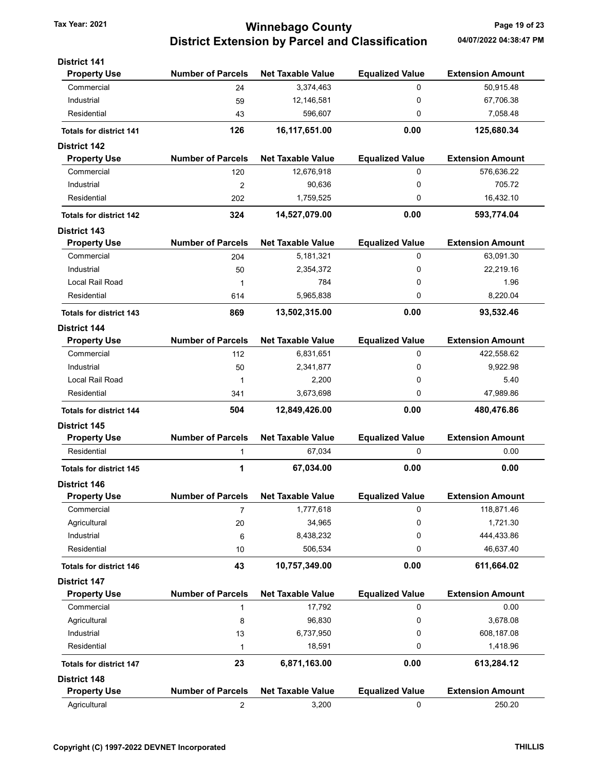# Tax Year: 2021 **120 COUNTY** Tax Year: 2021 **Page 19 of 23** District Extension by Parcel and Classification 04/07/2022 04:38:47 PM

| <b>District 141</b>                        |                          |                          |                        |                         |
|--------------------------------------------|--------------------------|--------------------------|------------------------|-------------------------|
| <b>Property Use</b>                        | <b>Number of Parcels</b> | <b>Net Taxable Value</b> | <b>Equalized Value</b> | <b>Extension Amount</b> |
| Commercial                                 | 24                       | 3,374,463                | 0                      | 50,915.48               |
| Industrial                                 | 59                       | 12,146,581               | $\mathbf 0$            | 67,706.38               |
| Residential                                | 43                       | 596,607                  | 0                      | 7,058.48                |
| <b>Totals for district 141</b>             | 126                      | 16,117,651.00            | 0.00                   | 125,680.34              |
| <b>District 142</b>                        |                          |                          |                        |                         |
| <b>Property Use</b>                        | <b>Number of Parcels</b> | <b>Net Taxable Value</b> | <b>Equalized Value</b> | <b>Extension Amount</b> |
| Commercial                                 | 120                      | 12,676,918               | 0                      | 576,636.22              |
| Industrial                                 | $\overline{2}$           | 90,636                   | 0                      | 705.72                  |
| Residential                                | 202                      | 1,759,525                | 0                      | 16,432.10               |
| <b>Totals for district 142</b>             | 324                      | 14,527,079.00            | 0.00                   | 593,774.04              |
| <b>District 143</b>                        |                          |                          |                        |                         |
| <b>Property Use</b>                        | <b>Number of Parcels</b> | <b>Net Taxable Value</b> | <b>Equalized Value</b> | <b>Extension Amount</b> |
| Commercial                                 | 204                      | 5,181,321                | 0                      | 63,091.30               |
| Industrial                                 | 50                       | 2,354,372                | 0                      | 22,219.16               |
| Local Rail Road                            | 1                        | 784                      | 0                      | 1.96                    |
| Residential                                | 614                      | 5,965,838                | 0                      | 8,220.04                |
| <b>Totals for district 143</b>             | 869                      | 13,502,315.00            | 0.00                   | 93,532.46               |
| <b>District 144</b>                        |                          |                          |                        |                         |
| <b>Property Use</b>                        | <b>Number of Parcels</b> | <b>Net Taxable Value</b> | <b>Equalized Value</b> | <b>Extension Amount</b> |
| Commercial                                 | 112                      | 6,831,651                | 0                      | 422,558.62              |
| Industrial                                 | 50                       | 2,341,877                | 0                      | 9,922.98                |
| Local Rail Road                            | 1                        | 2,200                    | 0                      | 5.40                    |
| Residential                                | 341                      | 3,673,698                | 0                      | 47,989.86               |
| <b>Totals for district 144</b>             | 504                      | 12,849,426.00            | 0.00                   | 480,476.86              |
| <b>District 145</b>                        |                          |                          |                        |                         |
| <b>Property Use</b>                        | <b>Number of Parcels</b> | <b>Net Taxable Value</b> | <b>Equalized Value</b> | <b>Extension Amount</b> |
| Residential                                | 1                        | 67,034                   | 0                      | 0.00                    |
| <b>Totals for district 145</b>             | 1                        | 67,034.00                | 0.00                   | 0.00                    |
| District 146                               |                          |                          |                        |                         |
| <b>Property Use</b>                        | <b>Number of Parcels</b> | <b>Net Taxable Value</b> | <b>Equalized Value</b> | <b>Extension Amount</b> |
| Commercial                                 | 7                        | 1,777,618                | 0                      | 118,871.46              |
| Agricultural<br>Industrial                 | 20                       | 34,965                   | 0<br>0                 | 1,721.30<br>444,433.86  |
| Residential                                | 6                        | 8,438,232                |                        | 46,637.40               |
|                                            | 10                       | 506,534                  | 0                      |                         |
| <b>Totals for district 146</b>             | 43                       | 10,757,349.00            | 0.00                   | 611,664.02              |
| <b>District 147</b>                        | <b>Number of Parcels</b> |                          |                        | <b>Extension Amount</b> |
| <b>Property Use</b>                        |                          | <b>Net Taxable Value</b> | <b>Equalized Value</b> |                         |
| Commercial                                 | 1                        | 17,792                   | 0                      | 0.00                    |
| Agricultural<br>Industrial                 | 8                        | 96,830                   | 0<br>0                 | 3,678.08<br>608,187.08  |
| Residential                                | 13                       | 6,737,950<br>18,591      | 0                      | 1,418.96                |
|                                            | 1                        |                          |                        |                         |
| <b>Totals for district 147</b>             | 23                       | 6,871,163.00             | 0.00                   | 613,284.12              |
| <b>District 148</b><br><b>Property Use</b> | <b>Number of Parcels</b> | <b>Net Taxable Value</b> | <b>Equalized Value</b> | <b>Extension Amount</b> |
|                                            |                          |                          | 0                      |                         |
| Agricultural                               | 2                        | 3,200                    |                        | 250.20                  |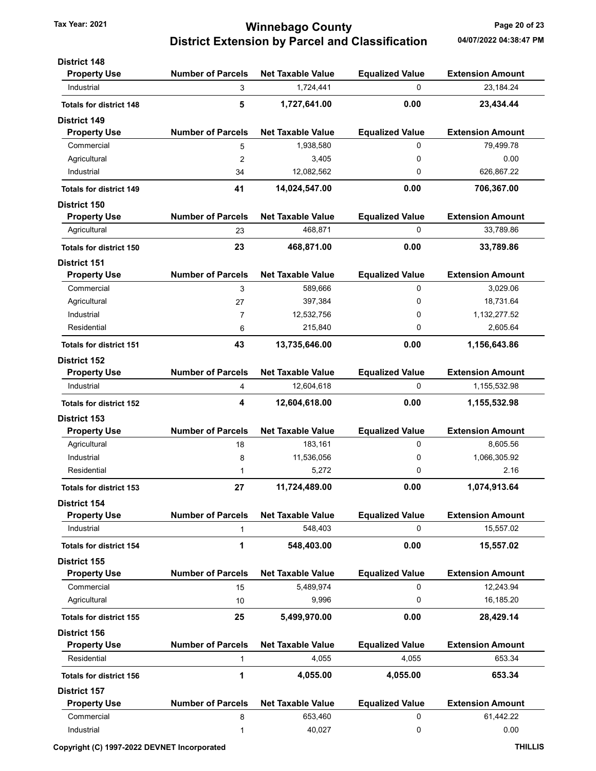## Tax Year: 2021 **120 COUNTY** Tax Year: 2021 **Page 20 of 23** District Extension by Parcel and Classification 04/07/2022 04:38:47 PM

| <b>District 148</b>            |                          |                          |                        |                         |
|--------------------------------|--------------------------|--------------------------|------------------------|-------------------------|
| <b>Property Use</b>            | <b>Number of Parcels</b> | <b>Net Taxable Value</b> | <b>Equalized Value</b> | <b>Extension Amount</b> |
| Industrial                     | 3                        | 1,724,441                | 0                      | 23,184.24               |
| <b>Totals for district 148</b> | 5                        | 1,727,641.00             | 0.00                   | 23,434.44               |
| <b>District 149</b>            |                          |                          |                        |                         |
| <b>Property Use</b>            | <b>Number of Parcels</b> | <b>Net Taxable Value</b> | <b>Equalized Value</b> | <b>Extension Amount</b> |
| Commercial                     | 5                        | 1,938,580                | 0                      | 79,499.78               |
| Agricultural                   | $\overline{2}$           | 3,405                    | 0                      | 0.00                    |
| Industrial                     | 34                       | 12,082,562               | 0                      | 626,867.22              |
| <b>Totals for district 149</b> | 41                       | 14,024,547.00            | 0.00                   | 706,367.00              |
| <b>District 150</b>            |                          |                          |                        |                         |
| <b>Property Use</b>            | <b>Number of Parcels</b> | <b>Net Taxable Value</b> | <b>Equalized Value</b> | <b>Extension Amount</b> |
| Agricultural                   | 23                       | 468,871                  | 0                      | 33,789.86               |
| <b>Totals for district 150</b> | 23                       | 468,871.00               | 0.00                   | 33,789.86               |
| <b>District 151</b>            |                          |                          |                        |                         |
| <b>Property Use</b>            | <b>Number of Parcels</b> | <b>Net Taxable Value</b> | <b>Equalized Value</b> | <b>Extension Amount</b> |
| Commercial                     | 3                        | 589,666                  | 0                      | 3,029.06                |
| Agricultural                   | 27                       | 397,384                  | 0                      | 18,731.64               |
| Industrial                     | 7                        | 12,532,756               | 0                      | 1,132,277.52            |
| Residential                    | 6                        | 215,840                  | 0                      | 2,605.64                |
| <b>Totals for district 151</b> | 43                       | 13,735,646.00            | 0.00                   | 1,156,643.86            |
| <b>District 152</b>            |                          |                          |                        |                         |
| <b>Property Use</b>            | <b>Number of Parcels</b> | <b>Net Taxable Value</b> | <b>Equalized Value</b> | <b>Extension Amount</b> |
| Industrial                     | 4                        | 12,604,618               | 0                      | 1,155,532.98            |
| <b>Totals for district 152</b> | 4                        | 12,604,618.00            | 0.00                   | 1,155,532.98            |
| District 153                   |                          |                          |                        |                         |
| <b>Property Use</b>            | <b>Number of Parcels</b> | <b>Net Taxable Value</b> | <b>Equalized Value</b> | <b>Extension Amount</b> |
| Agricultural                   | 18                       | 183,161                  | 0                      | 8,605.56                |
| Industrial                     | 8                        | 11,536,056               | 0                      | 1,066,305.92            |
| Residential                    | 1                        | 5,272                    | 0                      | 2.16                    |
| <b>Totals for district 153</b> | 27                       | 11,724,489.00            | 0.00                   | 1,074,913.64            |
| <b>District 154</b>            |                          |                          |                        |                         |
| <b>Property Use</b>            | <b>Number of Parcels</b> | <b>Net Taxable Value</b> | <b>Equalized Value</b> | <b>Extension Amount</b> |
| Industrial                     | 1                        | 548,403                  | 0                      | 15,557.02               |
| <b>Totals for district 154</b> | 1                        | 548,403.00               | 0.00                   | 15,557.02               |
| <b>District 155</b>            |                          |                          |                        |                         |
| <b>Property Use</b>            | <b>Number of Parcels</b> | <b>Net Taxable Value</b> | <b>Equalized Value</b> | <b>Extension Amount</b> |
| Commercial                     | 15                       | 5,489,974                | 0                      | 12,243.94               |
| Agricultural                   | 10                       | 9,996                    | 0                      | 16,185.20               |
| <b>Totals for district 155</b> | 25                       | 5,499,970.00             | 0.00                   | 28,429.14               |
| <b>District 156</b>            |                          |                          |                        |                         |
| <b>Property Use</b>            | <b>Number of Parcels</b> | <b>Net Taxable Value</b> | <b>Equalized Value</b> | <b>Extension Amount</b> |
| Residential                    | 1                        | 4,055                    | 4,055                  | 653.34                  |
| <b>Totals for district 156</b> | 1                        | 4,055.00                 | 4,055.00               | 653.34                  |
| <b>District 157</b>            |                          |                          |                        |                         |
| <b>Property Use</b>            | <b>Number of Parcels</b> | <b>Net Taxable Value</b> | <b>Equalized Value</b> | <b>Extension Amount</b> |
| Commercial                     | 8                        | 653,460                  | 0                      | 61,442.22               |
| Industrial                     | 1                        | 40,027                   | 0                      | 0.00                    |
|                                |                          |                          |                        |                         |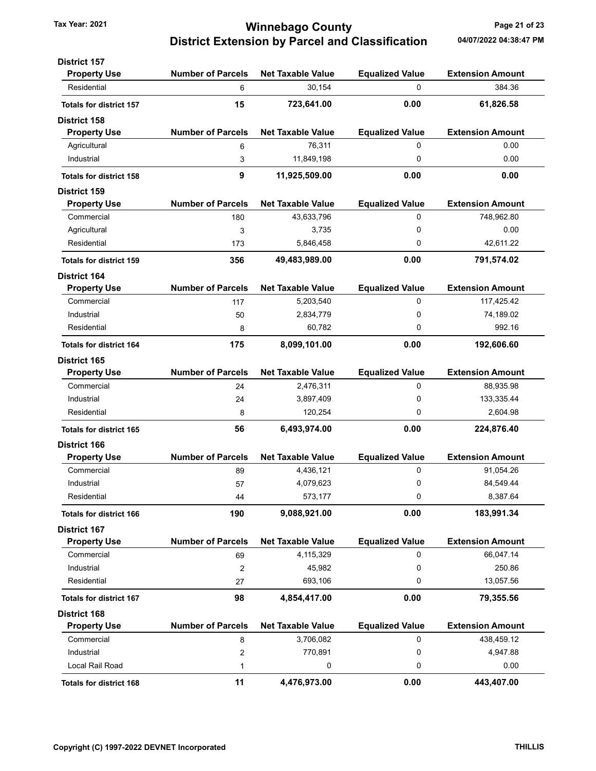## Tax Year: 2021 **120 COUNTY** Tax Year: 2021 **Page 21 of 23** District Extension by Parcel and Classification 04/07/2022 04:38:47 PM

| <b>Property Use</b><br><b>Number of Parcels</b><br><b>Net Taxable Value</b><br><b>Equalized Value</b><br><b>Extension Amount</b><br>30,154<br>384.36<br>Residential<br>0<br>6<br>15<br>0.00<br>723,641.00<br>61,826.58<br><b>Totals for district 157</b><br><b>Number of Parcels</b><br><b>Net Taxable Value</b><br><b>Equalized Value</b><br><b>Extension Amount</b><br><b>Property Use</b><br>76,311<br>0.00<br>Agricultural<br>0<br>6<br>0<br>0.00<br>Industrial<br>11,849,198<br>3<br>9<br>0.00<br>0.00<br>11,925,509.00<br><b>Totals for district 158</b><br><b>Number of Parcels</b><br><b>Extension Amount</b><br><b>Net Taxable Value</b><br><b>Equalized Value</b><br><b>Property Use</b><br>0<br>748,962.80<br>Commercial<br>43,633,796<br>180<br>3,735<br>0<br>0.00<br>Agricultural<br>3<br>Residential<br>5,846,458<br>0<br>42,611.22<br>173<br>0.00<br>356<br>49,483,989.00<br>791,574.02<br><b>Totals for district 159</b><br><b>Number of Parcels</b><br><b>Extension Amount</b><br><b>Net Taxable Value</b><br><b>Equalized Value</b><br><b>Property Use</b><br>Commercial<br>0<br>5,203,540<br>117,425.42<br>117<br>Industrial<br>2,834,779<br>0<br>74,189.02<br>50<br>992.16<br>60,782<br>0<br>Residential<br>8<br>8,099,101.00<br>0.00<br>192,606.60<br>175<br><b>Totals for district 164</b><br><b>District 165</b><br><b>Number of Parcels</b><br><b>Net Taxable Value</b><br><b>Equalized Value</b><br><b>Extension Amount</b><br><b>Property Use</b><br>Commercial<br>0<br>88,935.98<br>24<br>2,476,311<br>0<br>Industrial<br>3,897,409<br>133,335.44<br>24<br>120,254<br>0<br>2,604.98<br>Residential<br>8<br>0.00<br>56<br>6,493,974.00<br>224,876.40<br><b>Totals for district 165</b><br><b>District 166</b><br><b>Number of Parcels</b><br><b>Net Taxable Value</b><br><b>Equalized Value</b><br><b>Extension Amount</b><br><b>Property Use</b><br>0<br>Commercial<br>4,436,121<br>91,054.26<br>89<br>0<br>Industrial<br>4,079,623<br>84,549.44<br>57<br>573,177<br>0<br>8,387.64<br>Residential<br>44<br>190<br>9,088,921.00<br>0.00<br>183,991.34<br><b>Totals for district 166</b><br><b>District 167</b><br><b>Number of Parcels</b><br><b>Net Taxable Value</b><br><b>Equalized Value</b><br><b>Extension Amount</b><br><b>Property Use</b><br>Commercial<br>4,115,329<br>0<br>66,047.14<br>69<br>Industrial<br>45,982<br>250.86<br>0<br>$\overline{\mathbf{c}}$<br>693,106<br>13,057.56<br>Residential<br>0<br>27<br>4,854,417.00<br>0.00<br>98<br>79,355.56<br><b>Totals for district 167</b><br><b>District 168</b><br><b>Number of Parcels</b><br><b>Net Taxable Value</b><br><b>Equalized Value</b><br><b>Extension Amount</b><br><b>Property Use</b><br>3,706,082<br>438,459.12<br>Commercial<br>0<br>8<br>Industrial<br>770,891<br>4,947.88<br>2<br>0<br>Local Rail Road<br>0<br>0<br>0.00<br>1 | <b>District 157</b>            |    |              |      |            |
|-----------------------------------------------------------------------------------------------------------------------------------------------------------------------------------------------------------------------------------------------------------------------------------------------------------------------------------------------------------------------------------------------------------------------------------------------------------------------------------------------------------------------------------------------------------------------------------------------------------------------------------------------------------------------------------------------------------------------------------------------------------------------------------------------------------------------------------------------------------------------------------------------------------------------------------------------------------------------------------------------------------------------------------------------------------------------------------------------------------------------------------------------------------------------------------------------------------------------------------------------------------------------------------------------------------------------------------------------------------------------------------------------------------------------------------------------------------------------------------------------------------------------------------------------------------------------------------------------------------------------------------------------------------------------------------------------------------------------------------------------------------------------------------------------------------------------------------------------------------------------------------------------------------------------------------------------------------------------------------------------------------------------------------------------------------------------------------------------------------------------------------------------------------------------------------------------------------------------------------------------------------------------------------------------------------------------------------------------------------------------------------------------------------------------------------------------------------------------------------------------------------------------------------------------------------------------------------------------------------------------------------------------------------------------------------------------------------------------------------------------------------------------------------------------------------------------------------------|--------------------------------|----|--------------|------|------------|
|                                                                                                                                                                                                                                                                                                                                                                                                                                                                                                                                                                                                                                                                                                                                                                                                                                                                                                                                                                                                                                                                                                                                                                                                                                                                                                                                                                                                                                                                                                                                                                                                                                                                                                                                                                                                                                                                                                                                                                                                                                                                                                                                                                                                                                                                                                                                                                                                                                                                                                                                                                                                                                                                                                                                                                                                                                         |                                |    |              |      |            |
|                                                                                                                                                                                                                                                                                                                                                                                                                                                                                                                                                                                                                                                                                                                                                                                                                                                                                                                                                                                                                                                                                                                                                                                                                                                                                                                                                                                                                                                                                                                                                                                                                                                                                                                                                                                                                                                                                                                                                                                                                                                                                                                                                                                                                                                                                                                                                                                                                                                                                                                                                                                                                                                                                                                                                                                                                                         |                                |    |              |      |            |
|                                                                                                                                                                                                                                                                                                                                                                                                                                                                                                                                                                                                                                                                                                                                                                                                                                                                                                                                                                                                                                                                                                                                                                                                                                                                                                                                                                                                                                                                                                                                                                                                                                                                                                                                                                                                                                                                                                                                                                                                                                                                                                                                                                                                                                                                                                                                                                                                                                                                                                                                                                                                                                                                                                                                                                                                                                         |                                |    |              |      |            |
|                                                                                                                                                                                                                                                                                                                                                                                                                                                                                                                                                                                                                                                                                                                                                                                                                                                                                                                                                                                                                                                                                                                                                                                                                                                                                                                                                                                                                                                                                                                                                                                                                                                                                                                                                                                                                                                                                                                                                                                                                                                                                                                                                                                                                                                                                                                                                                                                                                                                                                                                                                                                                                                                                                                                                                                                                                         | <b>District 158</b>            |    |              |      |            |
|                                                                                                                                                                                                                                                                                                                                                                                                                                                                                                                                                                                                                                                                                                                                                                                                                                                                                                                                                                                                                                                                                                                                                                                                                                                                                                                                                                                                                                                                                                                                                                                                                                                                                                                                                                                                                                                                                                                                                                                                                                                                                                                                                                                                                                                                                                                                                                                                                                                                                                                                                                                                                                                                                                                                                                                                                                         |                                |    |              |      |            |
|                                                                                                                                                                                                                                                                                                                                                                                                                                                                                                                                                                                                                                                                                                                                                                                                                                                                                                                                                                                                                                                                                                                                                                                                                                                                                                                                                                                                                                                                                                                                                                                                                                                                                                                                                                                                                                                                                                                                                                                                                                                                                                                                                                                                                                                                                                                                                                                                                                                                                                                                                                                                                                                                                                                                                                                                                                         |                                |    |              |      |            |
|                                                                                                                                                                                                                                                                                                                                                                                                                                                                                                                                                                                                                                                                                                                                                                                                                                                                                                                                                                                                                                                                                                                                                                                                                                                                                                                                                                                                                                                                                                                                                                                                                                                                                                                                                                                                                                                                                                                                                                                                                                                                                                                                                                                                                                                                                                                                                                                                                                                                                                                                                                                                                                                                                                                                                                                                                                         |                                |    |              |      |            |
|                                                                                                                                                                                                                                                                                                                                                                                                                                                                                                                                                                                                                                                                                                                                                                                                                                                                                                                                                                                                                                                                                                                                                                                                                                                                                                                                                                                                                                                                                                                                                                                                                                                                                                                                                                                                                                                                                                                                                                                                                                                                                                                                                                                                                                                                                                                                                                                                                                                                                                                                                                                                                                                                                                                                                                                                                                         |                                |    |              |      |            |
|                                                                                                                                                                                                                                                                                                                                                                                                                                                                                                                                                                                                                                                                                                                                                                                                                                                                                                                                                                                                                                                                                                                                                                                                                                                                                                                                                                                                                                                                                                                                                                                                                                                                                                                                                                                                                                                                                                                                                                                                                                                                                                                                                                                                                                                                                                                                                                                                                                                                                                                                                                                                                                                                                                                                                                                                                                         | <b>District 159</b>            |    |              |      |            |
|                                                                                                                                                                                                                                                                                                                                                                                                                                                                                                                                                                                                                                                                                                                                                                                                                                                                                                                                                                                                                                                                                                                                                                                                                                                                                                                                                                                                                                                                                                                                                                                                                                                                                                                                                                                                                                                                                                                                                                                                                                                                                                                                                                                                                                                                                                                                                                                                                                                                                                                                                                                                                                                                                                                                                                                                                                         |                                |    |              |      |            |
|                                                                                                                                                                                                                                                                                                                                                                                                                                                                                                                                                                                                                                                                                                                                                                                                                                                                                                                                                                                                                                                                                                                                                                                                                                                                                                                                                                                                                                                                                                                                                                                                                                                                                                                                                                                                                                                                                                                                                                                                                                                                                                                                                                                                                                                                                                                                                                                                                                                                                                                                                                                                                                                                                                                                                                                                                                         |                                |    |              |      |            |
|                                                                                                                                                                                                                                                                                                                                                                                                                                                                                                                                                                                                                                                                                                                                                                                                                                                                                                                                                                                                                                                                                                                                                                                                                                                                                                                                                                                                                                                                                                                                                                                                                                                                                                                                                                                                                                                                                                                                                                                                                                                                                                                                                                                                                                                                                                                                                                                                                                                                                                                                                                                                                                                                                                                                                                                                                                         |                                |    |              |      |            |
|                                                                                                                                                                                                                                                                                                                                                                                                                                                                                                                                                                                                                                                                                                                                                                                                                                                                                                                                                                                                                                                                                                                                                                                                                                                                                                                                                                                                                                                                                                                                                                                                                                                                                                                                                                                                                                                                                                                                                                                                                                                                                                                                                                                                                                                                                                                                                                                                                                                                                                                                                                                                                                                                                                                                                                                                                                         |                                |    |              |      |            |
|                                                                                                                                                                                                                                                                                                                                                                                                                                                                                                                                                                                                                                                                                                                                                                                                                                                                                                                                                                                                                                                                                                                                                                                                                                                                                                                                                                                                                                                                                                                                                                                                                                                                                                                                                                                                                                                                                                                                                                                                                                                                                                                                                                                                                                                                                                                                                                                                                                                                                                                                                                                                                                                                                                                                                                                                                                         |                                |    |              |      |            |
|                                                                                                                                                                                                                                                                                                                                                                                                                                                                                                                                                                                                                                                                                                                                                                                                                                                                                                                                                                                                                                                                                                                                                                                                                                                                                                                                                                                                                                                                                                                                                                                                                                                                                                                                                                                                                                                                                                                                                                                                                                                                                                                                                                                                                                                                                                                                                                                                                                                                                                                                                                                                                                                                                                                                                                                                                                         | <b>District 164</b>            |    |              |      |            |
|                                                                                                                                                                                                                                                                                                                                                                                                                                                                                                                                                                                                                                                                                                                                                                                                                                                                                                                                                                                                                                                                                                                                                                                                                                                                                                                                                                                                                                                                                                                                                                                                                                                                                                                                                                                                                                                                                                                                                                                                                                                                                                                                                                                                                                                                                                                                                                                                                                                                                                                                                                                                                                                                                                                                                                                                                                         |                                |    |              |      |            |
|                                                                                                                                                                                                                                                                                                                                                                                                                                                                                                                                                                                                                                                                                                                                                                                                                                                                                                                                                                                                                                                                                                                                                                                                                                                                                                                                                                                                                                                                                                                                                                                                                                                                                                                                                                                                                                                                                                                                                                                                                                                                                                                                                                                                                                                                                                                                                                                                                                                                                                                                                                                                                                                                                                                                                                                                                                         |                                |    |              |      |            |
|                                                                                                                                                                                                                                                                                                                                                                                                                                                                                                                                                                                                                                                                                                                                                                                                                                                                                                                                                                                                                                                                                                                                                                                                                                                                                                                                                                                                                                                                                                                                                                                                                                                                                                                                                                                                                                                                                                                                                                                                                                                                                                                                                                                                                                                                                                                                                                                                                                                                                                                                                                                                                                                                                                                                                                                                                                         |                                |    |              |      |            |
|                                                                                                                                                                                                                                                                                                                                                                                                                                                                                                                                                                                                                                                                                                                                                                                                                                                                                                                                                                                                                                                                                                                                                                                                                                                                                                                                                                                                                                                                                                                                                                                                                                                                                                                                                                                                                                                                                                                                                                                                                                                                                                                                                                                                                                                                                                                                                                                                                                                                                                                                                                                                                                                                                                                                                                                                                                         |                                |    |              |      |            |
|                                                                                                                                                                                                                                                                                                                                                                                                                                                                                                                                                                                                                                                                                                                                                                                                                                                                                                                                                                                                                                                                                                                                                                                                                                                                                                                                                                                                                                                                                                                                                                                                                                                                                                                                                                                                                                                                                                                                                                                                                                                                                                                                                                                                                                                                                                                                                                                                                                                                                                                                                                                                                                                                                                                                                                                                                                         |                                |    |              |      |            |
|                                                                                                                                                                                                                                                                                                                                                                                                                                                                                                                                                                                                                                                                                                                                                                                                                                                                                                                                                                                                                                                                                                                                                                                                                                                                                                                                                                                                                                                                                                                                                                                                                                                                                                                                                                                                                                                                                                                                                                                                                                                                                                                                                                                                                                                                                                                                                                                                                                                                                                                                                                                                                                                                                                                                                                                                                                         |                                |    |              |      |            |
|                                                                                                                                                                                                                                                                                                                                                                                                                                                                                                                                                                                                                                                                                                                                                                                                                                                                                                                                                                                                                                                                                                                                                                                                                                                                                                                                                                                                                                                                                                                                                                                                                                                                                                                                                                                                                                                                                                                                                                                                                                                                                                                                                                                                                                                                                                                                                                                                                                                                                                                                                                                                                                                                                                                                                                                                                                         |                                |    |              |      |            |
|                                                                                                                                                                                                                                                                                                                                                                                                                                                                                                                                                                                                                                                                                                                                                                                                                                                                                                                                                                                                                                                                                                                                                                                                                                                                                                                                                                                                                                                                                                                                                                                                                                                                                                                                                                                                                                                                                                                                                                                                                                                                                                                                                                                                                                                                                                                                                                                                                                                                                                                                                                                                                                                                                                                                                                                                                                         |                                |    |              |      |            |
|                                                                                                                                                                                                                                                                                                                                                                                                                                                                                                                                                                                                                                                                                                                                                                                                                                                                                                                                                                                                                                                                                                                                                                                                                                                                                                                                                                                                                                                                                                                                                                                                                                                                                                                                                                                                                                                                                                                                                                                                                                                                                                                                                                                                                                                                                                                                                                                                                                                                                                                                                                                                                                                                                                                                                                                                                                         |                                |    |              |      |            |
|                                                                                                                                                                                                                                                                                                                                                                                                                                                                                                                                                                                                                                                                                                                                                                                                                                                                                                                                                                                                                                                                                                                                                                                                                                                                                                                                                                                                                                                                                                                                                                                                                                                                                                                                                                                                                                                                                                                                                                                                                                                                                                                                                                                                                                                                                                                                                                                                                                                                                                                                                                                                                                                                                                                                                                                                                                         |                                |    |              |      |            |
|                                                                                                                                                                                                                                                                                                                                                                                                                                                                                                                                                                                                                                                                                                                                                                                                                                                                                                                                                                                                                                                                                                                                                                                                                                                                                                                                                                                                                                                                                                                                                                                                                                                                                                                                                                                                                                                                                                                                                                                                                                                                                                                                                                                                                                                                                                                                                                                                                                                                                                                                                                                                                                                                                                                                                                                                                                         |                                |    |              |      |            |
|                                                                                                                                                                                                                                                                                                                                                                                                                                                                                                                                                                                                                                                                                                                                                                                                                                                                                                                                                                                                                                                                                                                                                                                                                                                                                                                                                                                                                                                                                                                                                                                                                                                                                                                                                                                                                                                                                                                                                                                                                                                                                                                                                                                                                                                                                                                                                                                                                                                                                                                                                                                                                                                                                                                                                                                                                                         |                                |    |              |      |            |
|                                                                                                                                                                                                                                                                                                                                                                                                                                                                                                                                                                                                                                                                                                                                                                                                                                                                                                                                                                                                                                                                                                                                                                                                                                                                                                                                                                                                                                                                                                                                                                                                                                                                                                                                                                                                                                                                                                                                                                                                                                                                                                                                                                                                                                                                                                                                                                                                                                                                                                                                                                                                                                                                                                                                                                                                                                         |                                |    |              |      |            |
|                                                                                                                                                                                                                                                                                                                                                                                                                                                                                                                                                                                                                                                                                                                                                                                                                                                                                                                                                                                                                                                                                                                                                                                                                                                                                                                                                                                                                                                                                                                                                                                                                                                                                                                                                                                                                                                                                                                                                                                                                                                                                                                                                                                                                                                                                                                                                                                                                                                                                                                                                                                                                                                                                                                                                                                                                                         |                                |    |              |      |            |
|                                                                                                                                                                                                                                                                                                                                                                                                                                                                                                                                                                                                                                                                                                                                                                                                                                                                                                                                                                                                                                                                                                                                                                                                                                                                                                                                                                                                                                                                                                                                                                                                                                                                                                                                                                                                                                                                                                                                                                                                                                                                                                                                                                                                                                                                                                                                                                                                                                                                                                                                                                                                                                                                                                                                                                                                                                         |                                |    |              |      |            |
|                                                                                                                                                                                                                                                                                                                                                                                                                                                                                                                                                                                                                                                                                                                                                                                                                                                                                                                                                                                                                                                                                                                                                                                                                                                                                                                                                                                                                                                                                                                                                                                                                                                                                                                                                                                                                                                                                                                                                                                                                                                                                                                                                                                                                                                                                                                                                                                                                                                                                                                                                                                                                                                                                                                                                                                                                                         |                                |    |              |      |            |
|                                                                                                                                                                                                                                                                                                                                                                                                                                                                                                                                                                                                                                                                                                                                                                                                                                                                                                                                                                                                                                                                                                                                                                                                                                                                                                                                                                                                                                                                                                                                                                                                                                                                                                                                                                                                                                                                                                                                                                                                                                                                                                                                                                                                                                                                                                                                                                                                                                                                                                                                                                                                                                                                                                                                                                                                                                         |                                |    |              |      |            |
|                                                                                                                                                                                                                                                                                                                                                                                                                                                                                                                                                                                                                                                                                                                                                                                                                                                                                                                                                                                                                                                                                                                                                                                                                                                                                                                                                                                                                                                                                                                                                                                                                                                                                                                                                                                                                                                                                                                                                                                                                                                                                                                                                                                                                                                                                                                                                                                                                                                                                                                                                                                                                                                                                                                                                                                                                                         |                                |    |              |      |            |
|                                                                                                                                                                                                                                                                                                                                                                                                                                                                                                                                                                                                                                                                                                                                                                                                                                                                                                                                                                                                                                                                                                                                                                                                                                                                                                                                                                                                                                                                                                                                                                                                                                                                                                                                                                                                                                                                                                                                                                                                                                                                                                                                                                                                                                                                                                                                                                                                                                                                                                                                                                                                                                                                                                                                                                                                                                         |                                |    |              |      |            |
|                                                                                                                                                                                                                                                                                                                                                                                                                                                                                                                                                                                                                                                                                                                                                                                                                                                                                                                                                                                                                                                                                                                                                                                                                                                                                                                                                                                                                                                                                                                                                                                                                                                                                                                                                                                                                                                                                                                                                                                                                                                                                                                                                                                                                                                                                                                                                                                                                                                                                                                                                                                                                                                                                                                                                                                                                                         |                                |    |              |      |            |
|                                                                                                                                                                                                                                                                                                                                                                                                                                                                                                                                                                                                                                                                                                                                                                                                                                                                                                                                                                                                                                                                                                                                                                                                                                                                                                                                                                                                                                                                                                                                                                                                                                                                                                                                                                                                                                                                                                                                                                                                                                                                                                                                                                                                                                                                                                                                                                                                                                                                                                                                                                                                                                                                                                                                                                                                                                         |                                |    |              |      |            |
|                                                                                                                                                                                                                                                                                                                                                                                                                                                                                                                                                                                                                                                                                                                                                                                                                                                                                                                                                                                                                                                                                                                                                                                                                                                                                                                                                                                                                                                                                                                                                                                                                                                                                                                                                                                                                                                                                                                                                                                                                                                                                                                                                                                                                                                                                                                                                                                                                                                                                                                                                                                                                                                                                                                                                                                                                                         |                                |    |              |      |            |
|                                                                                                                                                                                                                                                                                                                                                                                                                                                                                                                                                                                                                                                                                                                                                                                                                                                                                                                                                                                                                                                                                                                                                                                                                                                                                                                                                                                                                                                                                                                                                                                                                                                                                                                                                                                                                                                                                                                                                                                                                                                                                                                                                                                                                                                                                                                                                                                                                                                                                                                                                                                                                                                                                                                                                                                                                                         |                                |    |              |      |            |
|                                                                                                                                                                                                                                                                                                                                                                                                                                                                                                                                                                                                                                                                                                                                                                                                                                                                                                                                                                                                                                                                                                                                                                                                                                                                                                                                                                                                                                                                                                                                                                                                                                                                                                                                                                                                                                                                                                                                                                                                                                                                                                                                                                                                                                                                                                                                                                                                                                                                                                                                                                                                                                                                                                                                                                                                                                         |                                |    |              |      |            |
|                                                                                                                                                                                                                                                                                                                                                                                                                                                                                                                                                                                                                                                                                                                                                                                                                                                                                                                                                                                                                                                                                                                                                                                                                                                                                                                                                                                                                                                                                                                                                                                                                                                                                                                                                                                                                                                                                                                                                                                                                                                                                                                                                                                                                                                                                                                                                                                                                                                                                                                                                                                                                                                                                                                                                                                                                                         |                                |    |              |      |            |
|                                                                                                                                                                                                                                                                                                                                                                                                                                                                                                                                                                                                                                                                                                                                                                                                                                                                                                                                                                                                                                                                                                                                                                                                                                                                                                                                                                                                                                                                                                                                                                                                                                                                                                                                                                                                                                                                                                                                                                                                                                                                                                                                                                                                                                                                                                                                                                                                                                                                                                                                                                                                                                                                                                                                                                                                                                         |                                |    |              |      |            |
|                                                                                                                                                                                                                                                                                                                                                                                                                                                                                                                                                                                                                                                                                                                                                                                                                                                                                                                                                                                                                                                                                                                                                                                                                                                                                                                                                                                                                                                                                                                                                                                                                                                                                                                                                                                                                                                                                                                                                                                                                                                                                                                                                                                                                                                                                                                                                                                                                                                                                                                                                                                                                                                                                                                                                                                                                                         |                                |    |              |      |            |
|                                                                                                                                                                                                                                                                                                                                                                                                                                                                                                                                                                                                                                                                                                                                                                                                                                                                                                                                                                                                                                                                                                                                                                                                                                                                                                                                                                                                                                                                                                                                                                                                                                                                                                                                                                                                                                                                                                                                                                                                                                                                                                                                                                                                                                                                                                                                                                                                                                                                                                                                                                                                                                                                                                                                                                                                                                         |                                |    |              |      |            |
|                                                                                                                                                                                                                                                                                                                                                                                                                                                                                                                                                                                                                                                                                                                                                                                                                                                                                                                                                                                                                                                                                                                                                                                                                                                                                                                                                                                                                                                                                                                                                                                                                                                                                                                                                                                                                                                                                                                                                                                                                                                                                                                                                                                                                                                                                                                                                                                                                                                                                                                                                                                                                                                                                                                                                                                                                                         | <b>Totals for district 168</b> | 11 | 4,476,973.00 | 0.00 | 443,407.00 |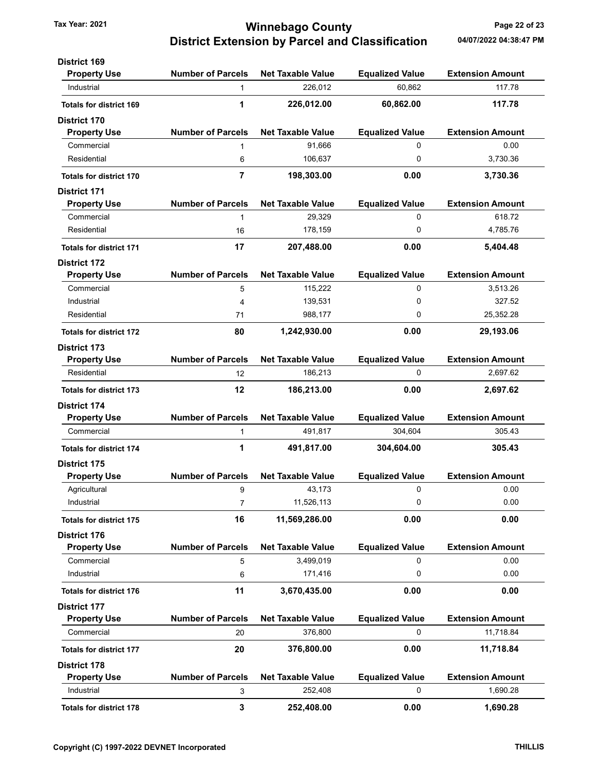## Tax Year: 2021 **1200 COUNTY** Tax Year: 2021 **Page 22 of 23** District Extension by Parcel and Classification 04/07/2022 04:38:47 PM

| <b>District 169</b>            |                          |                          |                        |                         |
|--------------------------------|--------------------------|--------------------------|------------------------|-------------------------|
| <b>Property Use</b>            | <b>Number of Parcels</b> | <b>Net Taxable Value</b> | <b>Equalized Value</b> | <b>Extension Amount</b> |
| Industrial                     | $\mathbf{1}$             | 226,012                  | 60,862                 | 117.78                  |
| <b>Totals for district 169</b> | 1                        | 226,012.00               | 60,862.00              | 117.78                  |
| <b>District 170</b>            |                          |                          |                        |                         |
| <b>Property Use</b>            | <b>Number of Parcels</b> | <b>Net Taxable Value</b> | <b>Equalized Value</b> | <b>Extension Amount</b> |
| Commercial                     | $\mathbf{1}$             | 91,666                   | 0                      | 0.00                    |
| Residential                    | 6                        | 106,637                  | 0                      | 3,730.36                |
| <b>Totals for district 170</b> | $\overline{7}$           | 198,303.00               | 0.00                   | 3,730.36                |
| <b>District 171</b>            |                          |                          |                        |                         |
| <b>Property Use</b>            | <b>Number of Parcels</b> | <b>Net Taxable Value</b> | <b>Equalized Value</b> | <b>Extension Amount</b> |
| Commercial                     | 1                        | 29,329                   | 0                      | 618.72                  |
| Residential                    | 16                       | 178,159                  | 0                      | 4,785.76                |
| <b>Totals for district 171</b> | 17                       | 207,488.00               | 0.00                   | 5,404.48                |
| <b>District 172</b>            |                          |                          |                        |                         |
| <b>Property Use</b>            | <b>Number of Parcels</b> | <b>Net Taxable Value</b> | <b>Equalized Value</b> | <b>Extension Amount</b> |
| Commercial                     | 5                        | 115,222                  | 0                      | 3.513.26                |
| Industrial                     | 4                        | 139,531                  | 0                      | 327.52                  |
| Residential                    | 71                       | 988,177                  | 0                      | 25,352.28               |
| <b>Totals for district 172</b> | 80                       | 1,242,930.00             | 0.00                   | 29,193.06               |
| <b>District 173</b>            |                          |                          |                        |                         |
| <b>Property Use</b>            | <b>Number of Parcels</b> | <b>Net Taxable Value</b> | <b>Equalized Value</b> | <b>Extension Amount</b> |
| Residential                    | 12                       | 186,213                  | 0                      | 2,697.62                |
| <b>Totals for district 173</b> | 12                       | 186,213.00               | 0.00                   | 2,697.62                |
| <b>District 174</b>            |                          |                          |                        |                         |
| <b>Property Use</b>            | <b>Number of Parcels</b> | <b>Net Taxable Value</b> | <b>Equalized Value</b> | <b>Extension Amount</b> |
| Commercial                     | 1                        | 491,817                  | 304,604                | 305.43                  |
| <b>Totals for district 174</b> | 1                        | 491,817.00               | 304,604.00             | 305.43                  |
| <b>District 175</b>            |                          |                          |                        |                         |
| <b>Property Use</b>            | <b>Number of Parcels</b> | <b>Net Taxable Value</b> | <b>Equalized Value</b> | <b>Extension Amount</b> |
| Agricultural                   | 9                        | 43,173                   | 0                      | 0.00                    |
| Industrial                     | $\overline{7}$           | 11,526,113               | 0                      | 0.00                    |
| <b>Totals for district 175</b> | 16                       | 11,569,286.00            | 0.00                   | 0.00                    |
| <b>District 176</b>            |                          |                          |                        |                         |
| <b>Property Use</b>            | <b>Number of Parcels</b> | <b>Net Taxable Value</b> | <b>Equalized Value</b> | <b>Extension Amount</b> |
| Commercial                     | 5                        | 3,499,019                | 0                      | 0.00                    |
| Industrial                     | 6                        | 171,416                  | 0                      | 0.00                    |
| <b>Totals for district 176</b> | 11                       | 3,670,435.00             | 0.00                   | 0.00                    |
| <b>District 177</b>            |                          |                          |                        |                         |
| <b>Property Use</b>            | <b>Number of Parcels</b> | <b>Net Taxable Value</b> | <b>Equalized Value</b> | <b>Extension Amount</b> |
| Commercial                     | 20                       | 376,800                  | 0                      | 11,718.84               |
| <b>Totals for district 177</b> | 20                       | 376,800.00               | 0.00                   | 11,718.84               |
| <b>District 178</b>            |                          |                          |                        |                         |
| <b>Property Use</b>            | <b>Number of Parcels</b> | <b>Net Taxable Value</b> | <b>Equalized Value</b> | <b>Extension Amount</b> |
| Industrial                     | 3                        | 252,408                  | 0                      | 1,690.28                |
| <b>Totals for district 178</b> | 3                        | 252,408.00               | 0.00                   | 1,690.28                |
|                                |                          |                          |                        |                         |